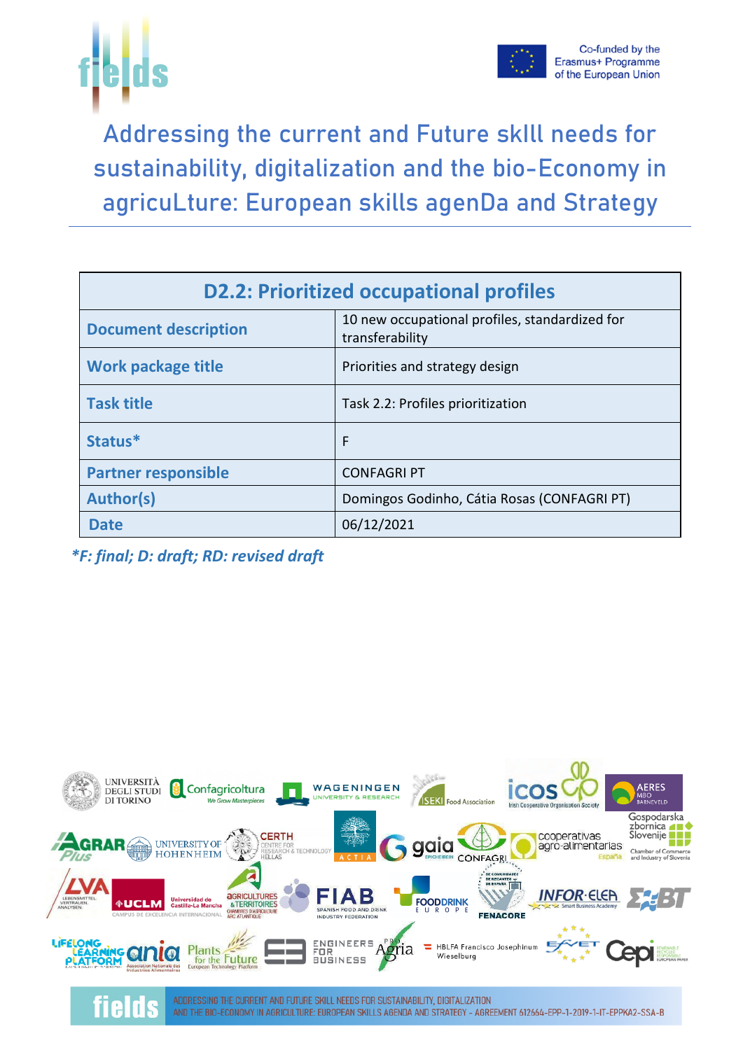



Addressing the current and Future skIll needs for sustainability, digitalization and the bio-Economy in agricuLture: European skills agenDa and Strategy

| <b>D2.2: Prioritized occupational profiles</b>                                                   |                                             |  |  |  |  |  |
|--------------------------------------------------------------------------------------------------|---------------------------------------------|--|--|--|--|--|
| 10 new occupational profiles, standardized for<br><b>Document description</b><br>transferability |                                             |  |  |  |  |  |
| <b>Work package title</b>                                                                        | Priorities and strategy design              |  |  |  |  |  |
| <b>Task title</b>                                                                                | Task 2.2: Profiles prioritization           |  |  |  |  |  |
| Status*                                                                                          | F                                           |  |  |  |  |  |
| <b>Partner responsible</b>                                                                       | <b>CONFAGRI PT</b>                          |  |  |  |  |  |
| <b>Author(s)</b>                                                                                 | Domingos Godinho, Cátia Rosas (CONFAGRI PT) |  |  |  |  |  |
| <b>Date</b>                                                                                      | 06/12/2021                                  |  |  |  |  |  |

*\*F: final; D: draft; RD: revised draft*

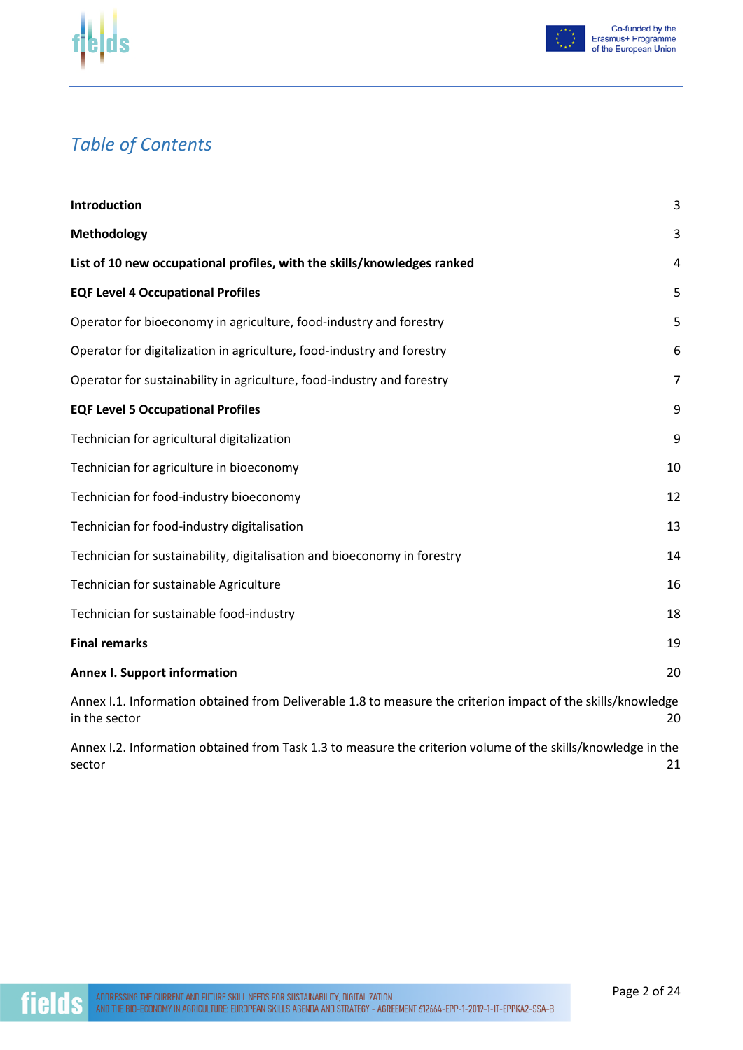



#### *Table of Contents*

| Introduction                                                                                                                  | 3              |
|-------------------------------------------------------------------------------------------------------------------------------|----------------|
| <b>Methodology</b>                                                                                                            | 3              |
| List of 10 new occupational profiles, with the skills/knowledges ranked                                                       | 4              |
| <b>EQF Level 4 Occupational Profiles</b>                                                                                      | 5              |
| Operator for bioeconomy in agriculture, food-industry and forestry                                                            | 5              |
| Operator for digitalization in agriculture, food-industry and forestry                                                        | 6              |
| Operator for sustainability in agriculture, food-industry and forestry                                                        | $\overline{7}$ |
| <b>EQF Level 5 Occupational Profiles</b>                                                                                      | 9              |
| Technician for agricultural digitalization                                                                                    | 9              |
| Technician for agriculture in bioeconomy                                                                                      | 10             |
| Technician for food-industry bioeconomy                                                                                       | 12             |
| Technician for food-industry digitalisation                                                                                   | 13             |
| Technician for sustainability, digitalisation and bioeconomy in forestry                                                      | 14             |
| Technician for sustainable Agriculture                                                                                        | 16             |
| Technician for sustainable food-industry                                                                                      | 18             |
| <b>Final remarks</b>                                                                                                          | 19             |
| <b>Annex I. Support information</b>                                                                                           | 20             |
| Annex I.1. Information obtained from Deliverable 1.8 to measure the criterion impact of the skills/knowledge<br>in the sector | 20             |
| Annex I.2. Information obtained from Task 1.3 to measure the criterion volume of the skills/knowledge in the<br>sector        | 21             |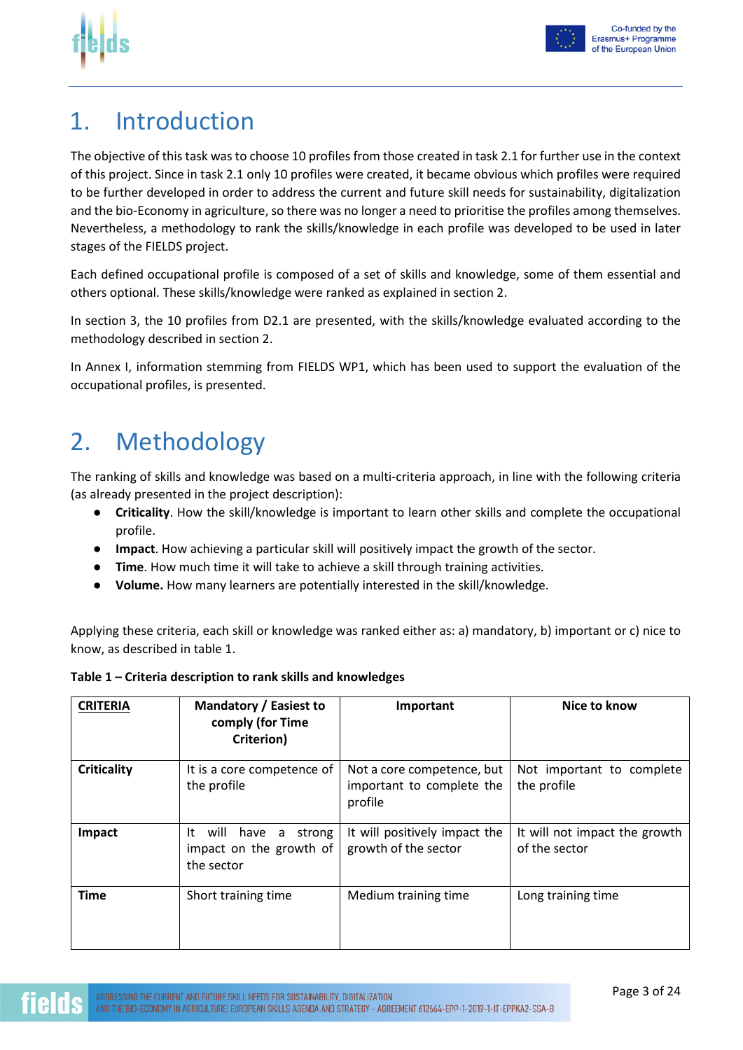



#### Co-funded by the Erasmus+ Programme of the European Union

#### 1. Introduction

The objective of this task was to choose 10 profiles from those created in task 2.1 for further use in the context of this project. Since in task 2.1 only 10 profiles were created, it became obvious which profiles were required to be further developed in order to address the current and future skill needs for sustainability, digitalization and the bio-Economy in agriculture, so there was no longer a need to prioritise the profiles among themselves. Nevertheless, a methodology to rank the skills/knowledge in each profile was developed to be used in later stages of the FIELDS project.

Each defined occupational profile is composed of a set of skills and knowledge, some of them essential and others optional. These skills/knowledge were ranked as explained in section 2.

In section 3, the 10 profiles from D2.1 are presented, with the skills/knowledge evaluated according to the methodology described in section 2.

In Annex I, information stemming from FIELDS WP1, which has been used to support the evaluation of the occupational profiles, is presented.

### 2. Methodology

The ranking of skills and knowledge was based on a multi-criteria approach, in line with the following criteria (as already presented in the project description):

- **Criticality**. How the skill/knowledge is important to learn other skills and complete the occupational profile.
- **Impact**. How achieving a particular skill will positively impact the growth of the sector.
- **Time**. How much time it will take to achieve a skill through training activities.
- **Volume.** How many learners are potentially interested in the skill/knowledge.

Applying these criteria, each skill or knowledge was ranked either as: a) mandatory, b) important or c) nice to know, as described in table 1.

| <b>CRITERIA</b>    | Mandatory / Easiest to<br>comply (for Time<br>Criterion)                   | Important                                                          | Nice to know                                   |
|--------------------|----------------------------------------------------------------------------|--------------------------------------------------------------------|------------------------------------------------|
| <b>Criticality</b> | It is a core competence of<br>the profile                                  | Not a core competence, but<br>important to complete the<br>profile | Not important to complete<br>the profile       |
| Impact             | It<br>will<br>have<br>strong<br>a<br>impact on the growth of<br>the sector | It will positively impact the<br>growth of the sector              | It will not impact the growth<br>of the sector |
| <b>Time</b>        | Short training time                                                        | Medium training time                                               | Long training time                             |

#### **Table 1 – Criteria description to rank skills and knowledges**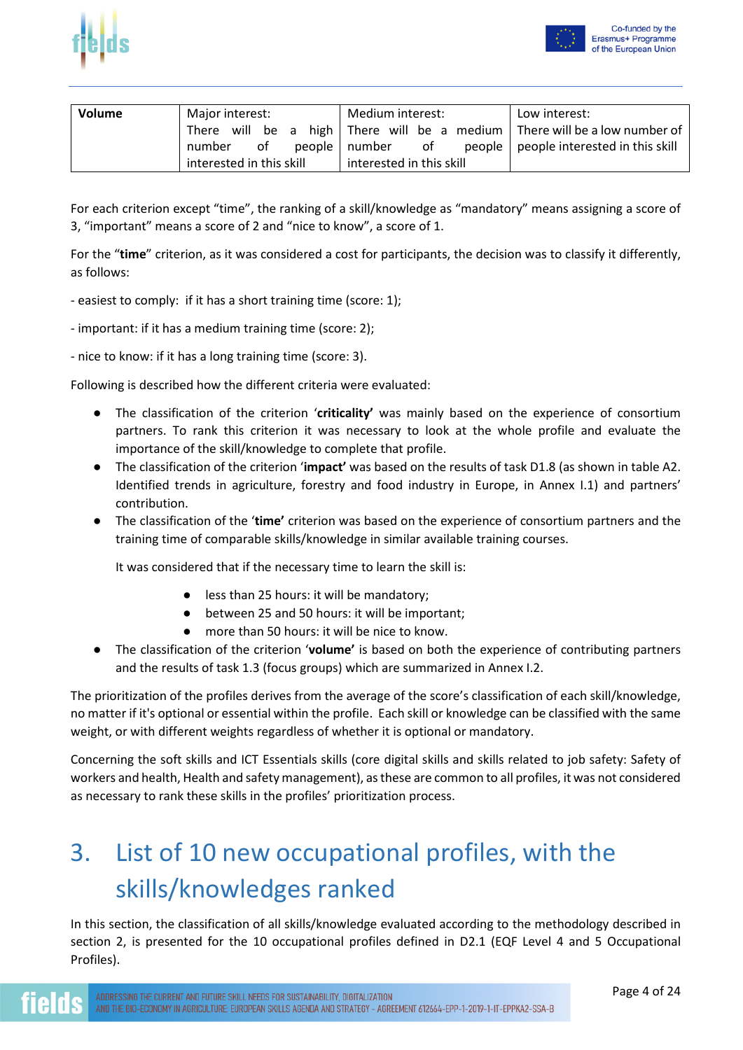



| Volume | Major interest:          | Medium interest:         | Low interest:                                                                 |
|--------|--------------------------|--------------------------|-------------------------------------------------------------------------------|
|        |                          |                          | There will be a high   There will be a medium   There will be a low number of |
|        | of<br>number             | people   number of       | people   people interested in this skill                                      |
|        | interested in this skill | interested in this skill |                                                                               |

For each criterion except "time", the ranking of a skill/knowledge as "mandatory" means assigning a score of 3, "important" means a score of 2 and "nice to know", a score of 1.

For the "**time**" criterion, as it was considered a cost for participants, the decision was to classify it differently, as follows:

- easiest to comply: if it has a short training time (score: 1);

- important: if it has a medium training time (score: 2);

- nice to know: if it has a long training time (score: 3).

Following is described how the different criteria were evaluated:

- The classification of the criterion '**criticality'** was mainly based on the experience of consortium partners. To rank this criterion it was necessary to look at the whole profile and evaluate the importance of the skill/knowledge to complete that profile.
- The classification of the criterion '**impact'** was based on the results of task D1.8 (as shown in table A2. Identified trends in agriculture, forestry and food industry in Europe, in Annex I.1) and partners' contribution.
- The classification of the '**time'** criterion was based on the experience of consortium partners and the training time of comparable skills/knowledge in similar available training courses.

It was considered that if the necessary time to learn the skill is:

- less than 25 hours: it will be mandatory:
- between 25 and 50 hours: it will be important;
- more than 50 hours: it will be nice to know.
- The classification of the criterion '**volume'** is based on both the experience of contributing partners and the results of task 1.3 (focus groups) which are summarized in Annex I.2.

The prioritization of the profiles derives from the average of the score's classification of each skill/knowledge, no matter if it's optional or essential within the profile. Each skill or knowledge can be classified with the same weight, or with different weights regardless of whether it is optional or mandatory.

Concerning the soft skills and ICT Essentials skills (core digital skills and skills related to job safety: Safety of workers and health, Health and safety management), as these are common to all profiles, it was not considered as necessary to rank these skills in the profiles' prioritization process.

### 3. List of 10 new occupational profiles, with the skills/knowledges ranked

In this section, the classification of all skills/knowledge evaluated according to the methodology described in section 2, is presented for the 10 occupational profiles defined in D2.1 (EQF Level 4 and 5 Occupational Profiles).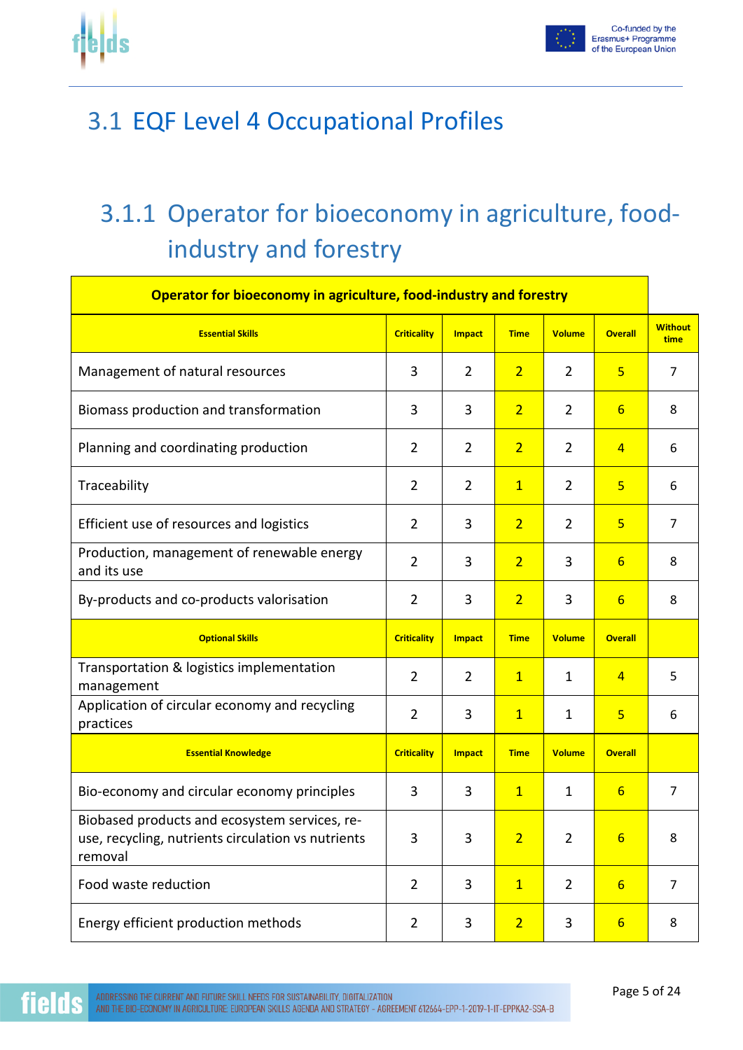



### 3.1 EQF Level 4 Occupational Profiles

# 3.1.1 Operator for bioeconomy in agriculture, foodindustry and forestry

| Operator for bioeconomy in agriculture, food-industry and forestry                                             |                    |                |                |                |                 |                        |  |  |  |
|----------------------------------------------------------------------------------------------------------------|--------------------|----------------|----------------|----------------|-----------------|------------------------|--|--|--|
| <b>Essential Skills</b>                                                                                        | <b>Criticality</b> | <b>Impact</b>  | <b>Time</b>    | <b>Volume</b>  | <b>Overall</b>  | <b>Without</b><br>time |  |  |  |
| Management of natural resources                                                                                | 3                  | $\overline{2}$ | $\overline{2}$ | $\overline{2}$ | 5               | $\overline{7}$         |  |  |  |
| Biomass production and transformation                                                                          | 3                  | 3              | $\overline{2}$ | $\overline{2}$ | 6               | 8                      |  |  |  |
| Planning and coordinating production                                                                           | 2                  | $\overline{2}$ | $\overline{2}$ | $\overline{2}$ | $\overline{4}$  | 6                      |  |  |  |
| Traceability                                                                                                   | $\overline{2}$     | $\overline{2}$ | $\overline{1}$ | $\overline{2}$ | $\overline{5}$  | 6                      |  |  |  |
| Efficient use of resources and logistics                                                                       | $\overline{2}$     | 3              | $\overline{2}$ | $\overline{2}$ | $\overline{5}$  | $\overline{7}$         |  |  |  |
| Production, management of renewable energy<br>and its use                                                      | $\overline{2}$     | 3              | $\overline{2}$ | 3              | $6\overline{6}$ | 8                      |  |  |  |
| By-products and co-products valorisation                                                                       | $\overline{2}$     | 3              | $\overline{2}$ | 3              | $6\overline{}$  | 8                      |  |  |  |
| <b>Optional Skills</b>                                                                                         | <b>Criticality</b> | <b>Impact</b>  | <b>Time</b>    | <b>Volume</b>  | <b>Overall</b>  |                        |  |  |  |
| Transportation & logistics implementation<br>management                                                        | $\overline{2}$     | $\overline{2}$ | $\mathbf{1}$   | 1              | 4               | 5                      |  |  |  |
| Application of circular economy and recycling<br>practices                                                     | $\overline{2}$     | 3              | $\overline{1}$ | $\mathbf 1$    | 5               | 6                      |  |  |  |
| <b>Essential Knowledge</b>                                                                                     | <b>Criticality</b> | <b>Impact</b>  | <b>Time</b>    | <b>Volume</b>  | <b>Overall</b>  |                        |  |  |  |
| Bio-economy and circular economy principles                                                                    | 3                  | 3              | $\overline{1}$ | $\mathbf{1}$   | $6\overline{6}$ | $\overline{7}$         |  |  |  |
| Biobased products and ecosystem services, re-<br>use, recycling, nutrients circulation vs nutrients<br>removal | 3                  | 3              | 2 <sup>2</sup> | $\overline{2}$ | 6 <sup>1</sup>  | 8                      |  |  |  |
| Food waste reduction                                                                                           | $\overline{2}$     | 3              | $\overline{1}$ | $\overline{2}$ | $6 \overline{}$ | $\overline{7}$         |  |  |  |
| Energy efficient production methods                                                                            | $\overline{2}$     | 3              | $\overline{2}$ | 3              | $6 \overline{}$ | 8                      |  |  |  |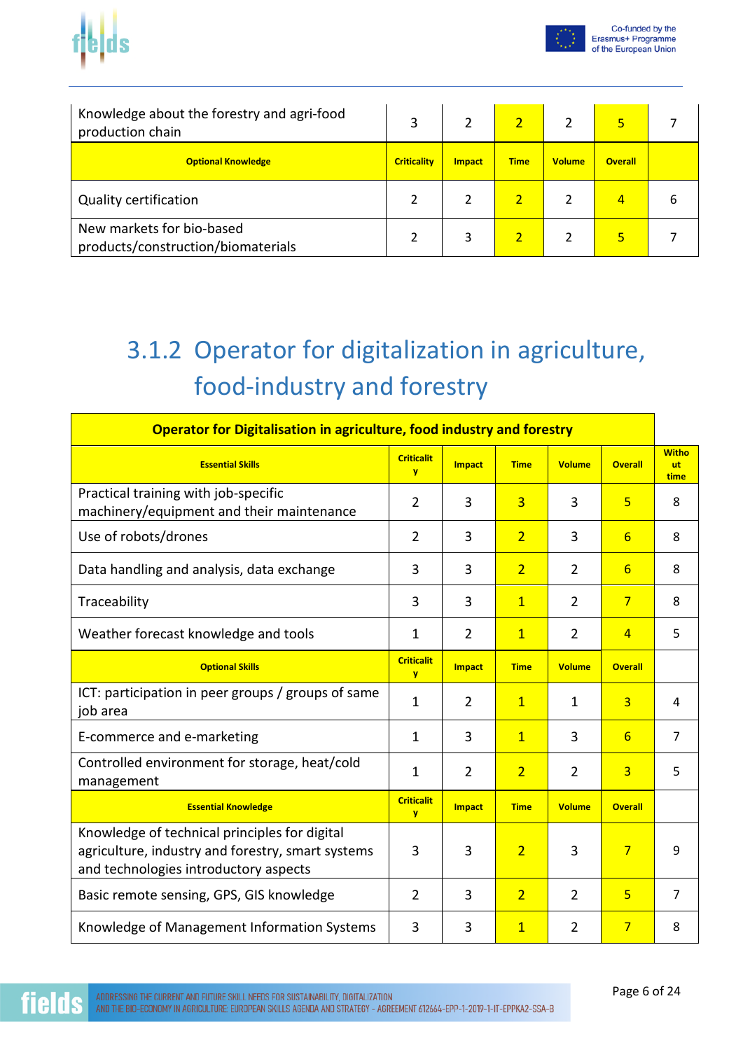

|--|

| Knowledge about the forestry and agri-food<br>production chain  |                    |               |             |               | 5              |   |
|-----------------------------------------------------------------|--------------------|---------------|-------------|---------------|----------------|---|
| <b>Optional Knowledge</b>                                       | <b>Criticality</b> | <b>Impact</b> | <b>Time</b> | <b>Volume</b> | <b>Overall</b> |   |
| <b>Quality certification</b>                                    |                    |               |             |               | $\overline{4}$ | 6 |
| New markets for bio-based<br>products/construction/biomaterials |                    |               |             |               | 5              |   |

# 3.1.2 Operator for digitalization in agriculture, food-industry and forestry

| <b>Operator for Digitalisation in agriculture, food industry and forestry</b>                                                               |                                     |                |                |                |                 |                                   |  |
|---------------------------------------------------------------------------------------------------------------------------------------------|-------------------------------------|----------------|----------------|----------------|-----------------|-----------------------------------|--|
| <b>Essential Skills</b>                                                                                                                     | <b>Criticalit</b><br>$\overline{V}$ | <b>Impact</b>  | <b>Time</b>    | <b>Volume</b>  | <b>Overall</b>  | <b>Witho</b><br><b>ut</b><br>time |  |
| Practical training with job-specific<br>machinery/equipment and their maintenance                                                           | $\overline{2}$                      | 3              | $\overline{3}$ | 3              | 5               | 8                                 |  |
| Use of robots/drones                                                                                                                        | $\overline{2}$                      | 3              | $\overline{2}$ | 3              | $6\overline{6}$ | 8                                 |  |
| Data handling and analysis, data exchange                                                                                                   | 3                                   | 3              | $\overline{2}$ | $\overline{2}$ | 6               | 8                                 |  |
| Traceability                                                                                                                                | 3                                   | 3              | $\overline{1}$ | $\overline{2}$ | $\overline{7}$  | 8                                 |  |
| Weather forecast knowledge and tools                                                                                                        | $\mathbf 1$                         | $\overline{2}$ | $\overline{1}$ | $\overline{2}$ | $\overline{4}$  | 5                                 |  |
| <b>Optional Skills</b>                                                                                                                      | <b>Criticalit</b><br><b>y</b>       | <b>Impact</b>  | <b>Time</b>    | <b>Volume</b>  | <b>Overall</b>  |                                   |  |
| ICT: participation in peer groups / groups of same<br>job area                                                                              | $\mathbf{1}$                        | $\overline{2}$ | $\overline{1}$ | 1              | 3               | 4                                 |  |
| E-commerce and e-marketing                                                                                                                  | $\mathbf{1}$                        | 3              | $\overline{1}$ | 3              | 6               | $\overline{7}$                    |  |
| Controlled environment for storage, heat/cold<br>management                                                                                 | $\mathbf 1$                         | $\overline{2}$ | $\overline{2}$ | $\overline{2}$ | 3               | 5                                 |  |
| <b>Essential Knowledge</b>                                                                                                                  | <b>Criticalit</b><br><b>y</b>       | <b>Impact</b>  | <b>Time</b>    | <b>Volume</b>  | <b>Overall</b>  |                                   |  |
| Knowledge of technical principles for digital<br>agriculture, industry and forestry, smart systems<br>and technologies introductory aspects | 3                                   | 3              | $\overline{2}$ | 3              | $\overline{7}$  | 9                                 |  |
| Basic remote sensing, GPS, GIS knowledge                                                                                                    | $\overline{2}$                      | 3              | $\overline{2}$ | $\overline{2}$ | 5               | 7                                 |  |
| Knowledge of Management Information Systems                                                                                                 | 3                                   | 3              | $\overline{1}$ | $\overline{2}$ | $\overline{7}$  | 8                                 |  |

fie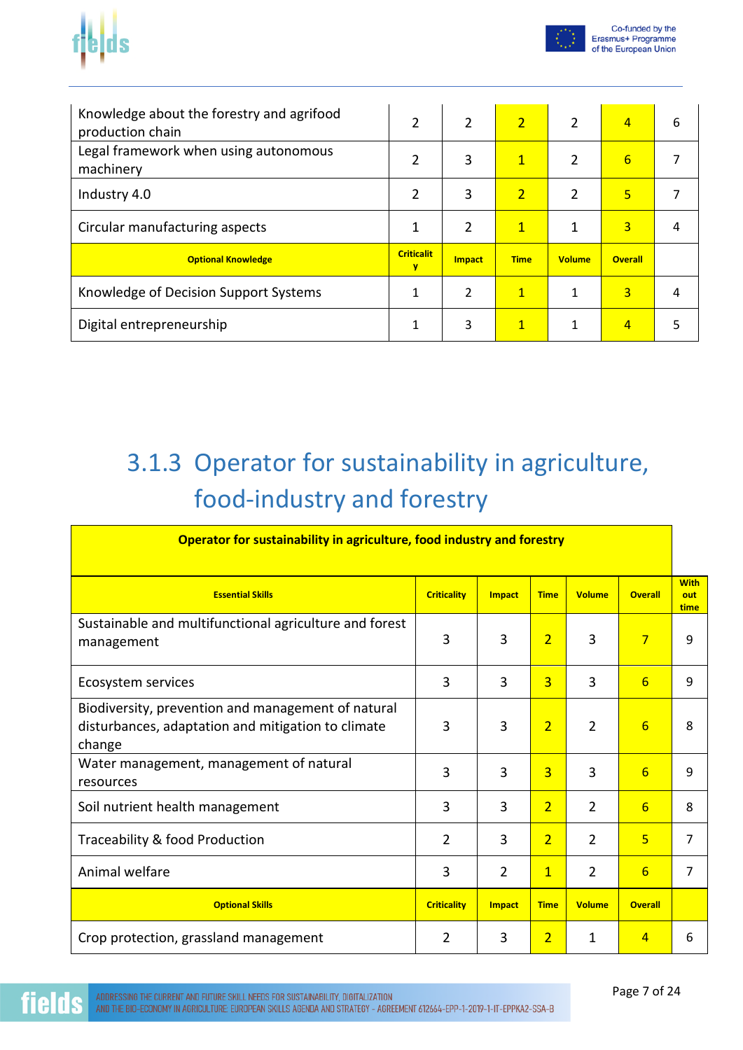

|--|--|

| Knowledge about the forestry and agrifood<br>production chain | $\mathfrak z$          | $\overline{2}$ | $\overline{2}$ | $\overline{2}$ | 4               | 6 |
|---------------------------------------------------------------|------------------------|----------------|----------------|----------------|-----------------|---|
| Legal framework when using autonomous<br>machinery            | 2                      | 3              | $\overline{1}$ | $\overline{2}$ | $6\overline{6}$ |   |
| Industry 4.0                                                  | 2                      | 3              | $\overline{2}$ | 2              | 5               |   |
| Circular manufacturing aspects                                | 1                      | $\overline{2}$ | $\overline{1}$ | $\mathbf{1}$   | 3               | 4 |
| <b>Optional Knowledge</b>                                     | <b>Criticalit</b><br>v | <b>Impact</b>  | <b>Time</b>    | <b>Volume</b>  | <b>Overall</b>  |   |
| Knowledge of Decision Support Systems                         | 1                      | $\overline{2}$ | $\mathbf{1}$   | 1              | 3               | 4 |
| Digital entrepreneurship                                      | 1                      | 3              | $\mathbf{1}$   | $\mathbf{1}$   | $\overline{4}$  |   |

# 3.1.3 Operator for sustainability in agriculture, food-industry and forestry

| Operator for sustainability in agriculture, food industry and forestry                                             |                    |                |                |                |                |                            |  |
|--------------------------------------------------------------------------------------------------------------------|--------------------|----------------|----------------|----------------|----------------|----------------------------|--|
| <b>Essential Skills</b>                                                                                            | <b>Criticality</b> | <b>Impact</b>  | <b>Time</b>    | <b>Volume</b>  | <b>Overall</b> | <b>With</b><br>out<br>time |  |
| Sustainable and multifunctional agriculture and forest<br>management                                               | 3                  | 3              | $\overline{2}$ | 3              | $\overline{7}$ | 9                          |  |
| Ecosystem services                                                                                                 | 3                  | 3              | $\overline{3}$ | 3              | 6              | 9                          |  |
| Biodiversity, prevention and management of natural<br>disturbances, adaptation and mitigation to climate<br>change | 3                  | 3              | $\overline{2}$ | $\overline{2}$ | 6              | 8                          |  |
| Water management, management of natural<br>resources                                                               | 3                  | 3              | $\overline{3}$ | 3              | 6              | 9                          |  |
| Soil nutrient health management                                                                                    | 3                  | 3              | $\overline{2}$ | $\overline{2}$ | 6              | 8                          |  |
| Traceability & food Production                                                                                     | $\overline{2}$     | 3              | $\overline{2}$ | $\overline{2}$ | $\overline{5}$ | $\overline{7}$             |  |
| Animal welfare                                                                                                     | 3                  | $\overline{2}$ | $\mathbf{1}$   | $\overline{2}$ | 6              | 7                          |  |
| <b>Optional Skills</b>                                                                                             | <b>Criticality</b> | <b>Impact</b>  | <b>Time</b>    | <b>Volume</b>  | <b>Overall</b> |                            |  |
| Crop protection, grassland management                                                                              | 2                  | 3              | $\overline{2}$ | 1              | $\overline{4}$ | 6                          |  |

fie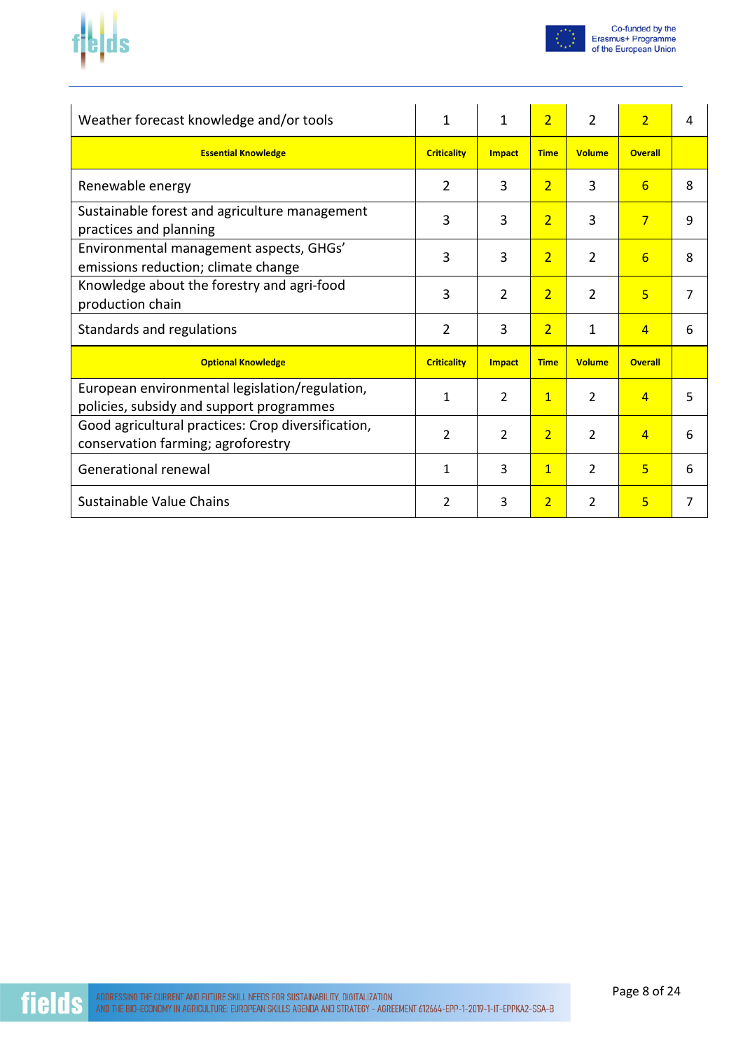



| Weather forecast knowledge and/or tools                                                    | $\mathbf{1}$       | $\mathbf{1}$   | $\overline{2}$ | $\overline{2}$ | $\overline{2}$ | 4 |
|--------------------------------------------------------------------------------------------|--------------------|----------------|----------------|----------------|----------------|---|
| <b>Essential Knowledge</b>                                                                 | <b>Criticality</b> | <b>Impact</b>  | <b>Time</b>    | <b>Volume</b>  | <b>Overall</b> |   |
| Renewable energy                                                                           | 2                  | 3              | $\overline{2}$ | 3              | 6              | 8 |
| Sustainable forest and agriculture management<br>practices and planning                    | 3                  | 3              | $\overline{2}$ | 3              | $\overline{7}$ | 9 |
| Environmental management aspects, GHGs'<br>emissions reduction; climate change             | 3                  | 3              | $\overline{2}$ | $\overline{2}$ | 6              | 8 |
| Knowledge about the forestry and agri-food<br>production chain                             | 3                  | $\overline{2}$ | $\overline{2}$ | 2              | 5              | 7 |
| Standards and regulations                                                                  | 2                  | 3              | $\overline{2}$ | 1              | $\overline{4}$ | 6 |
| <b>Optional Knowledge</b>                                                                  | <b>Criticality</b> | <b>Impact</b>  | <b>Time</b>    | <b>Volume</b>  | <b>Overall</b> |   |
| European environmental legislation/regulation,<br>policies, subsidy and support programmes | 1                  | $\overline{2}$ | $\mathbf{1}$   | $\mathcal{P}$  | $\overline{4}$ | 5 |
| Good agricultural practices: Crop diversification,<br>conservation farming; agroforestry   | 2                  | $\overline{2}$ | $\overline{2}$ | $\overline{2}$ | $\overline{4}$ | 6 |
| Generational renewal                                                                       | 1                  | 3              | $\overline{1}$ | $\overline{2}$ | 5              | 6 |
| Sustainable Value Chains                                                                   | 2                  | 3              | $\overline{2}$ | 2              | 5              | 7 |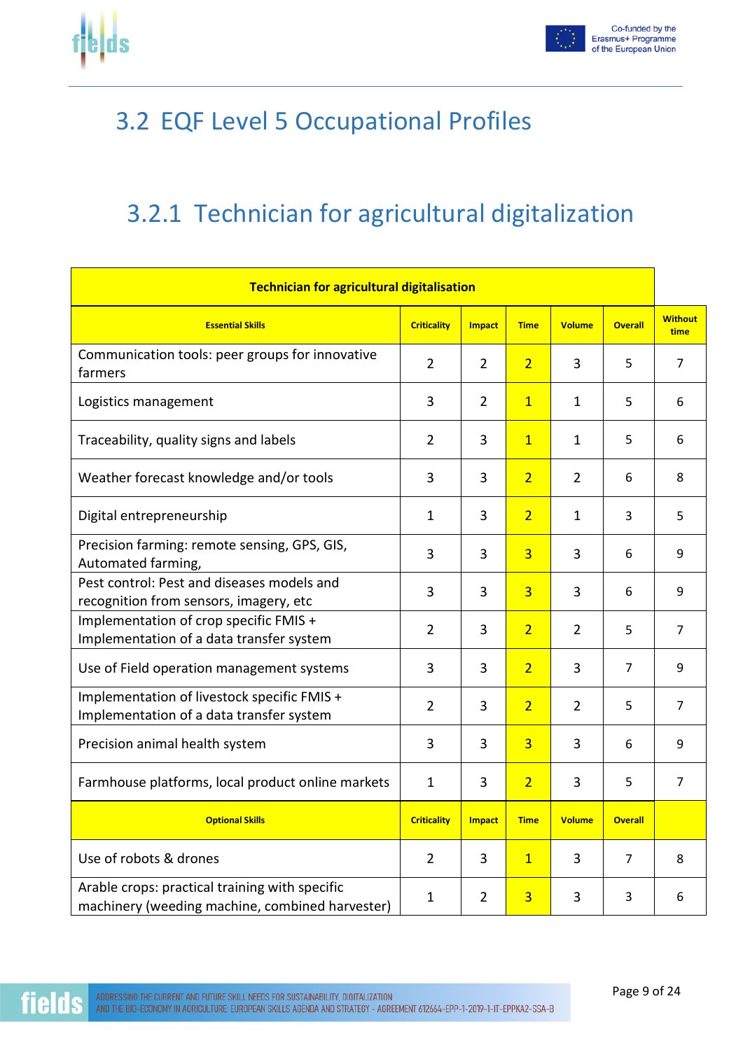

fie



### 3.2 EQF Level 5 Occupational Profiles

### 3.2.1 Technician for agricultural digitalization

| <b>Technician for agricultural digitalisation</b>                                                 |                    |                |                |                |                |                        |
|---------------------------------------------------------------------------------------------------|--------------------|----------------|----------------|----------------|----------------|------------------------|
| <b>Essential Skills</b>                                                                           | <b>Criticality</b> | <b>Impact</b>  | <b>Time</b>    | <b>Volume</b>  | <b>Overall</b> | <b>Without</b><br>time |
| Communication tools: peer groups for innovative<br>farmers                                        | $\overline{2}$     | $\overline{2}$ | $\overline{2}$ | 3              | 5              | $\overline{7}$         |
| Logistics management                                                                              | 3                  | $\overline{2}$ | $\overline{1}$ | $\mathbf{1}$   | 5              | 6                      |
| Traceability, quality signs and labels                                                            | $\overline{2}$     | 3              | $\overline{1}$ | $\mathbf{1}$   | 5              | 6                      |
| Weather forecast knowledge and/or tools                                                           | 3                  | 3              | $\overline{2}$ | $\overline{2}$ | 6              | 8                      |
| Digital entrepreneurship                                                                          | 1                  | 3              | $\overline{2}$ | $\mathbf{1}$   | 3              | 5                      |
| Precision farming: remote sensing, GPS, GIS,<br>Automated farming,                                | 3                  | 3              | $\overline{3}$ | 3              | 6              | 9                      |
| Pest control: Pest and diseases models and<br>recognition from sensors, imagery, etc              | 3                  | 3              | $\overline{3}$ | 3              | 6              | 9                      |
| Implementation of crop specific FMIS +<br>Implementation of a data transfer system                | $\overline{2}$     | 3              | $\overline{2}$ | $\overline{2}$ | 5              | $\overline{7}$         |
| Use of Field operation management systems                                                         | 3                  | 3              | $\overline{2}$ | 3              | $\overline{7}$ | 9                      |
| Implementation of livestock specific FMIS +<br>Implementation of a data transfer system           | $\overline{2}$     | 3              | $\overline{2}$ | $\overline{2}$ | 5              | $\overline{7}$         |
| Precision animal health system                                                                    | 3                  | 3              | $\overline{3}$ | 3              | 6              | 9                      |
| Farmhouse platforms, local product online markets                                                 | $\mathbf{1}$       | 3              | $\overline{2}$ | 3              | 5              | 7                      |
| <b>Optional Skills</b>                                                                            | <b>Criticality</b> | <b>Impact</b>  | <b>Time</b>    | <b>Volume</b>  | <b>Overall</b> |                        |
| Use of robots & drones                                                                            | $\overline{2}$     | 3              | $\overline{1}$ | 3              | 7              | 8                      |
| Arable crops: practical training with specific<br>machinery (weeding machine, combined harvester) | $\mathbf{1}$       | $\overline{2}$ | $\overline{3}$ | 3              | 3              | 6                      |

ADDRESSING THE CURRENT AND FUTURE SKILL NEEDS FOR SUSTAINABILITY, DIGITALIZATION AND THE BIO-ECONOMY IN AGRICULTURE: EUROPEAN SKILLS AGENDA AND STRATEGY - AGREEMENT 612664-EPP-1-2019-1-IT-EPPKA2-SSA-B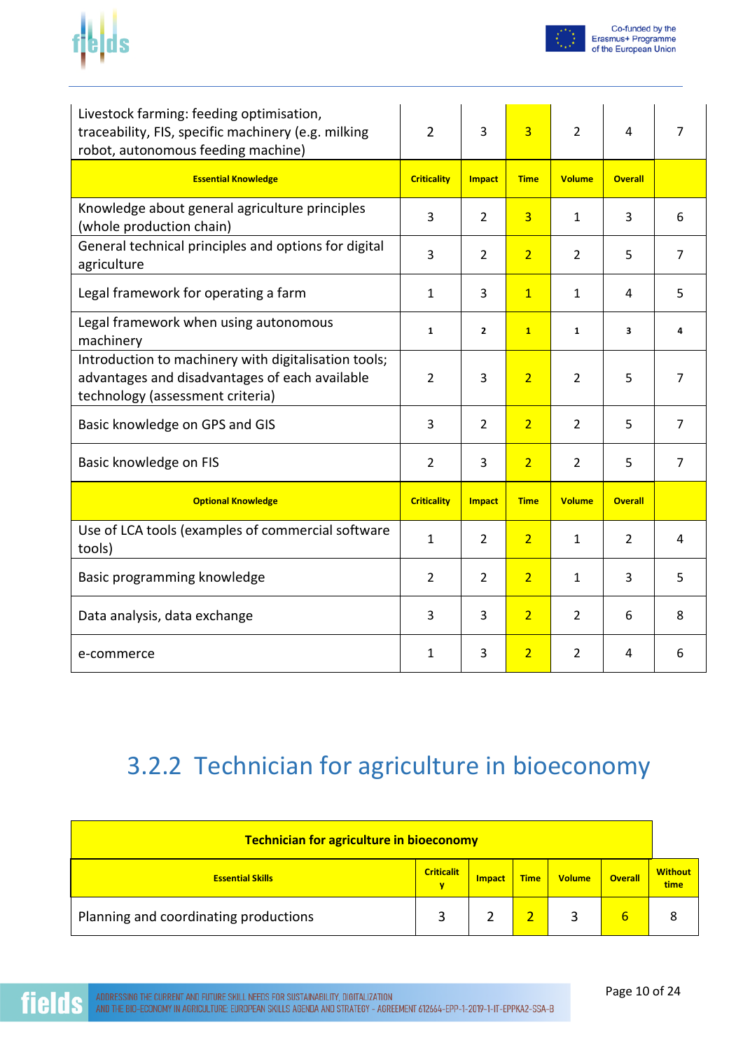



| Livestock farming: feeding optimisation,<br>traceability, FIS, specific machinery (e.g. milking<br>robot, autonomous feeding machine)      | $\overline{2}$     | 3             | $\overline{3}$ | $\overline{2}$ | 4              | 7              |
|--------------------------------------------------------------------------------------------------------------------------------------------|--------------------|---------------|----------------|----------------|----------------|----------------|
| <b>Essential Knowledge</b>                                                                                                                 | <b>Criticality</b> | Impact        | <b>Time</b>    | <b>Volume</b>  | <b>Overall</b> |                |
| Knowledge about general agriculture principles<br>(whole production chain)                                                                 | 3                  | 2             | $\overline{3}$ | 1              | 3              | 6              |
| General technical principles and options for digital<br>agriculture                                                                        | 3                  | 2             | $\overline{2}$ | 2              | 5              | 7              |
| Legal framework for operating a farm                                                                                                       | 1                  | 3             | $\mathbf{1}$   | 1              | 4              | 5              |
| Legal framework when using autonomous<br>machinery                                                                                         | $\mathbf{1}$       | $\mathbf{2}$  | $\mathbf{1}$   | $\mathbf{1}$   | 3              | 4              |
| Introduction to machinery with digitalisation tools;<br>advantages and disadvantages of each available<br>technology (assessment criteria) | $\overline{2}$     | 3             | $\overline{2}$ | 2              | 5              | 7              |
| Basic knowledge on GPS and GIS                                                                                                             | 3                  | 2             | $\overline{2}$ | 2              | 5              | $\overline{7}$ |
| Basic knowledge on FIS                                                                                                                     | 2                  | 3             | $\overline{2}$ | $\overline{2}$ | 5              | 7              |
| <b>Optional Knowledge</b>                                                                                                                  | <b>Criticality</b> | <b>Impact</b> | <b>Time</b>    | <b>Volume</b>  | <b>Overall</b> |                |
| Use of LCA tools (examples of commercial software<br>tools)                                                                                | $\mathbf{1}$       | 2             | $\overline{2}$ | 1              | 2              | 4              |
| Basic programming knowledge                                                                                                                | 2                  | 2             | $\overline{2}$ | 1              | 3              | 5              |
| Data analysis, data exchange                                                                                                               | 3                  | 3             | $\overline{2}$ | $\overline{2}$ | 6              | 8              |
| e-commerce                                                                                                                                 | 1                  | 3             | $\overline{2}$ | $\overline{2}$ | 4              | 6              |

### 3.2.2 Technician for agriculture in bioeconomy

| <b>Technician for agriculture in bioeconomy</b> |                        |               |             |               |                |                        |
|-------------------------------------------------|------------------------|---------------|-------------|---------------|----------------|------------------------|
| <b>Essential Skills</b>                         | <b>Criticalit</b><br>۷ | <b>Impact</b> | <b>Time</b> | <b>Volume</b> | <b>Overall</b> | <b>Without</b><br>time |
| Planning and coordinating productions           |                        |               |             |               | 6              | 8                      |

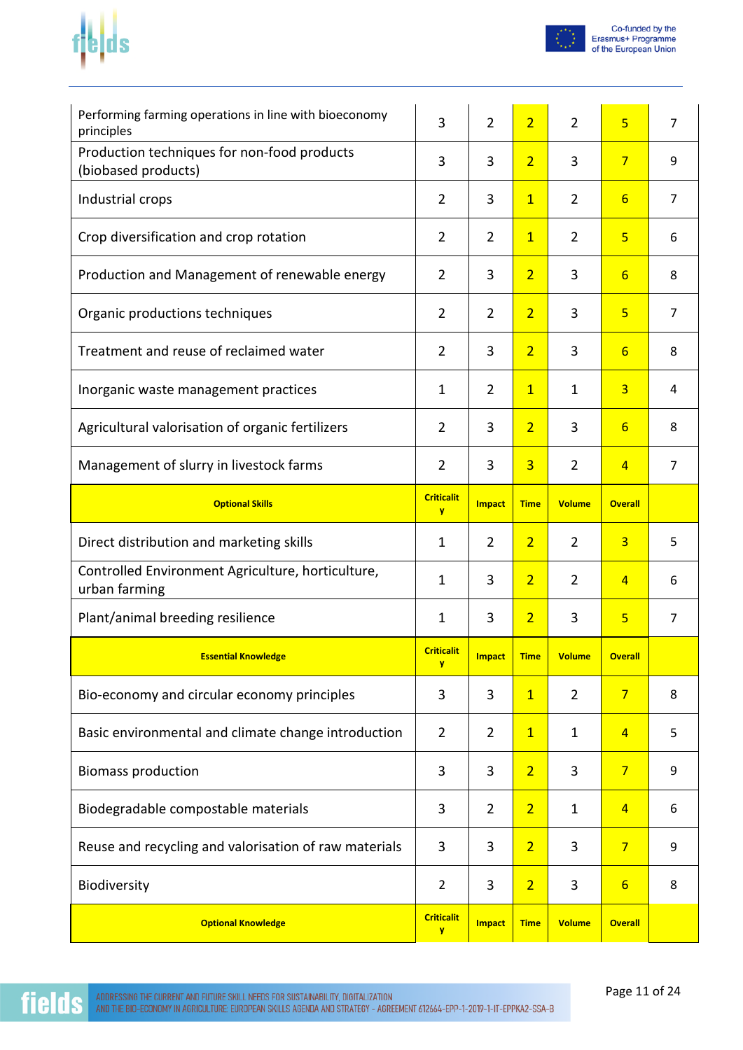# $f_t$



| Performing farming operations in line with bioeconomy<br>principles | 3                             | $\overline{2}$ | $\overline{2}$ | $\overline{2}$ | $\overline{5}$ | $\overline{7}$ |
|---------------------------------------------------------------------|-------------------------------|----------------|----------------|----------------|----------------|----------------|
| Production techniques for non-food products<br>(biobased products)  | 3                             | 3              | $\overline{2}$ | 3              | $7\overline{}$ | 9              |
| Industrial crops                                                    | $\overline{2}$                | 3              | $\overline{1}$ | $\overline{2}$ | $6\overline{}$ | $\overline{7}$ |
| Crop diversification and crop rotation                              | $\overline{2}$                | $\overline{2}$ | $\overline{1}$ | $\overline{2}$ | $\overline{5}$ | 6              |
| Production and Management of renewable energy                       | $\overline{2}$                | 3              | $\overline{2}$ | 3              | 6              | 8              |
| Organic productions techniques                                      | $\overline{2}$                | $\overline{2}$ | $\overline{2}$ | 3              | $\overline{5}$ | $\overline{7}$ |
| Treatment and reuse of reclaimed water                              | $\overline{2}$                | 3              | $\overline{2}$ | 3              | $6\overline{}$ | 8              |
| Inorganic waste management practices                                | 1                             | $\overline{2}$ | $\mathbf{1}$   | $\mathbf{1}$   | $\overline{3}$ | 4              |
| Agricultural valorisation of organic fertilizers                    | $\overline{2}$                | 3              | $\overline{2}$ | 3              | $6\overline{}$ | 8              |
| Management of slurry in livestock farms                             | $\overline{2}$                | 3              | $\overline{3}$ | $\overline{2}$ | $\overline{4}$ | 7              |
| <b>Optional Skills</b>                                              | <b>Criticalit</b><br>y        | <b>Impact</b>  | <b>Time</b>    | <b>Volume</b>  | <b>Overall</b> |                |
|                                                                     |                               |                |                |                |                |                |
| Direct distribution and marketing skills                            | $\mathbf 1$                   | $\overline{2}$ | $\overline{2}$ | $\overline{2}$ | $\overline{3}$ | 5              |
| Controlled Environment Agriculture, horticulture,<br>urban farming  | $\mathbf{1}$                  | 3              | $\overline{2}$ | $\overline{2}$ | $\overline{4}$ | 6              |
| Plant/animal breeding resilience                                    | 1                             | 3              | $\overline{2}$ | 3              | $\overline{5}$ | $\overline{7}$ |
| <b>Essential Knowledge</b>                                          | <b>Criticalit</b><br><b>y</b> | <b>Impact</b>  | <u>Time</u>    | Volume         | <b>Overall</b> |                |
| Bio-economy and circular economy principles                         | 3                             | 3              | $\overline{1}$ | $\overline{2}$ | $\overline{7}$ | 8              |
| Basic environmental and climate change introduction                 | $\overline{2}$                | $\overline{2}$ | $\overline{1}$ | $\mathbf{1}$   | $\overline{4}$ | 5              |
| <b>Biomass production</b>                                           | 3                             | 3              | $\overline{2}$ | 3              | $\overline{7}$ | 9              |
| Biodegradable compostable materials                                 | 3                             | $\overline{2}$ | $\overline{2}$ | $\mathbf{1}$   | $\overline{4}$ | 6              |
| Reuse and recycling and valorisation of raw materials               | 3                             | 3              | $\overline{2}$ | 3              | $7\overline{}$ | 9              |
| Biodiversity                                                        | $\overline{2}$                | 3              | $\overline{2}$ | 3              | 6              | 8              |

**fields**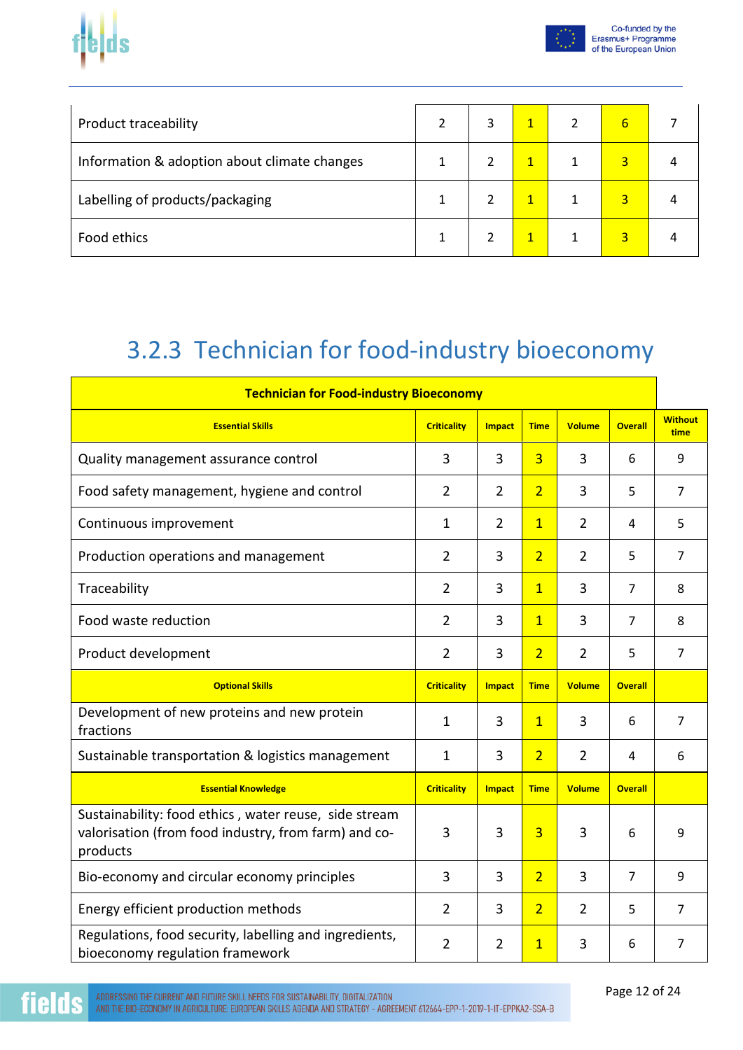

|--|--|

| <b>Product traceability</b>                  | 3 |  | 6              |  |
|----------------------------------------------|---|--|----------------|--|
| Information & adoption about climate changes |   |  | $\overline{3}$ |  |
| Labelling of products/packaging              |   |  | $\overline{3}$ |  |
| Food ethics                                  |   |  | 3              |  |

## 3.2.3 Technician for food-industry bioeconomy

| <b>Technician for Food-industry Bioeconomy</b>                                                                            |                    |                |                |                |                |                        |
|---------------------------------------------------------------------------------------------------------------------------|--------------------|----------------|----------------|----------------|----------------|------------------------|
| <b>Essential Skills</b>                                                                                                   | <b>Criticality</b> | <b>Impact</b>  | <b>Time</b>    | <b>Volume</b>  | <b>Overall</b> | <b>Without</b><br>time |
| Quality management assurance control                                                                                      | 3                  | 3              | $\overline{3}$ | 3              | 6              | 9                      |
| Food safety management, hygiene and control                                                                               | 2                  | $\overline{2}$ | $\overline{2}$ | 3              | 5              | $\overline{7}$         |
| Continuous improvement                                                                                                    | 1                  | $\overline{2}$ | $\overline{1}$ | $\overline{2}$ | 4              | 5                      |
| Production operations and management                                                                                      | $\overline{2}$     | 3              | $\overline{2}$ | $\overline{2}$ | 5              | $\overline{7}$         |
| Traceability                                                                                                              | $\overline{2}$     | 3              | $\overline{1}$ | 3              | $\overline{7}$ | 8                      |
| Food waste reduction                                                                                                      | $\overline{2}$     | 3              | $\overline{1}$ | 3              | 7              | 8                      |
| Product development                                                                                                       | $\overline{2}$     | 3              | $\overline{2}$ | $\overline{2}$ | 5              | $\overline{7}$         |
| <b>Optional Skills</b>                                                                                                    | <b>Criticality</b> | <b>Impact</b>  | <b>Time</b>    | <b>Volume</b>  | <b>Overall</b> |                        |
| Development of new proteins and new protein<br>fractions                                                                  | 1                  | 3              | $\overline{1}$ | 3              | 6              | $\overline{7}$         |
| Sustainable transportation & logistics management                                                                         | 1                  | 3              | $\overline{2}$ | $\overline{2}$ | 4              | 6                      |
| <b>Essential Knowledge</b>                                                                                                | <b>Criticality</b> | <b>Impact</b>  | <b>Time</b>    | <b>Volume</b>  | <b>Overall</b> |                        |
| Sustainability: food ethics, water reuse, side stream<br>valorisation (from food industry, from farm) and co-<br>products | 3                  | 3              | $\overline{3}$ | 3              | 6              | 9                      |
| Bio-economy and circular economy principles                                                                               | 3                  | 3              | $\overline{2}$ | 3              | $\overline{7}$ | 9                      |
| Energy efficient production methods                                                                                       | 2                  | 3              | $\overline{2}$ | $\overline{2}$ | 5              | $\overline{7}$         |
| Regulations, food security, labelling and ingredients,<br>bioeconomy regulation framework                                 | $\overline{2}$     | $\overline{2}$ | $\overline{1}$ | 3              | 6              | 7                      |

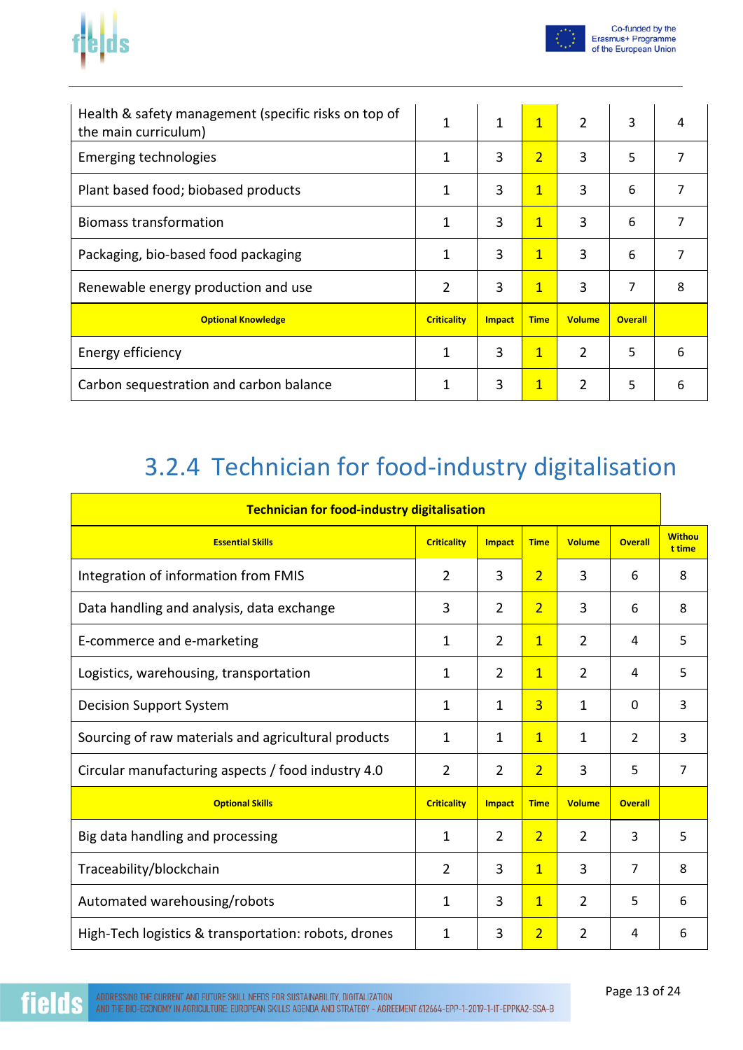



| Health & safety management (specific risks on top of<br>the main curriculum) | 1                  | $\mathbf{1}$  | $\overline{1}$ | $\overline{2}$ | 3              | 4 |
|------------------------------------------------------------------------------|--------------------|---------------|----------------|----------------|----------------|---|
| Emerging technologies                                                        | 1                  | 3             | $\overline{2}$ | 3              | 5              | 7 |
| Plant based food; biobased products                                          | 1                  | 3             | $\mathbf{1}$   | 3              | 6              | 7 |
| <b>Biomass transformation</b>                                                | 1                  | 3             | $\overline{1}$ | 3              | 6              | 7 |
| Packaging, bio-based food packaging                                          | 1                  | 3             | $\mathbf{1}$   | 3              | 6              | 7 |
| Renewable energy production and use                                          | 2                  | 3             | $\mathbf{1}$   | 3              | 7              | 8 |
| <b>Optional Knowledge</b>                                                    | <b>Criticality</b> | <b>Impact</b> | <b>Time</b>    | <b>Volume</b>  | <b>Overall</b> |   |
| Energy efficiency                                                            | 1                  | 3             | $\mathbf{1}$   | $\overline{2}$ | 5              | 6 |
| Carbon sequestration and carbon balance                                      | 1                  | 3             | $\overline{1}$ | 2              | 5              | 6 |

### 3.2.4 Technician for food-industry digitalisation

| <b>Technician for food-industry digitalisation</b>   |                    |                |                |                |                |                         |
|------------------------------------------------------|--------------------|----------------|----------------|----------------|----------------|-------------------------|
| <b>Essential Skills</b>                              | <b>Criticality</b> | <b>Impact</b>  | <b>Time</b>    | <b>Volume</b>  | <b>Overall</b> | <b>Withou</b><br>t time |
| Integration of information from FMIS                 | $\overline{2}$     | 3              | $\overline{2}$ | 3              | 6              | 8                       |
| Data handling and analysis, data exchange            | 3                  | $\overline{2}$ | $\overline{2}$ | 3              | 6              | 8                       |
| E-commerce and e-marketing                           | 1                  | $\overline{2}$ | $\overline{1}$ | 2              | 4              | 5                       |
| Logistics, warehousing, transportation               | 1                  | $\overline{2}$ | $\overline{1}$ | 2              | 4              | 5                       |
| <b>Decision Support System</b>                       | 1                  | $\mathbf{1}$   | $\overline{3}$ | 1              | $\Omega$       | 3                       |
| Sourcing of raw materials and agricultural products  | 1                  | $\mathbf{1}$   | $\overline{1}$ | 1              | 2              | 3                       |
| Circular manufacturing aspects / food industry 4.0   | 2                  | 2              | $\overline{2}$ | 3              | 5              | $\overline{7}$          |
| <b>Optional Skills</b>                               | <b>Criticality</b> | <b>Impact</b>  | <b>Time</b>    | <b>Volume</b>  | <b>Overall</b> |                         |
| Big data handling and processing                     | 1                  | $\overline{2}$ | $\overline{2}$ | 2              | 3              | 5                       |
| Traceability/blockchain                              | $\overline{2}$     | 3              | $\overline{1}$ | 3              | 7              | 8                       |
| Automated warehousing/robots                         | 1                  | 3              | $\overline{1}$ | $\overline{2}$ | 5              | 6                       |
| High-Tech logistics & transportation: robots, drones | 1                  | 3              | $\overline{2}$ | $\overline{2}$ | 4              | 6                       |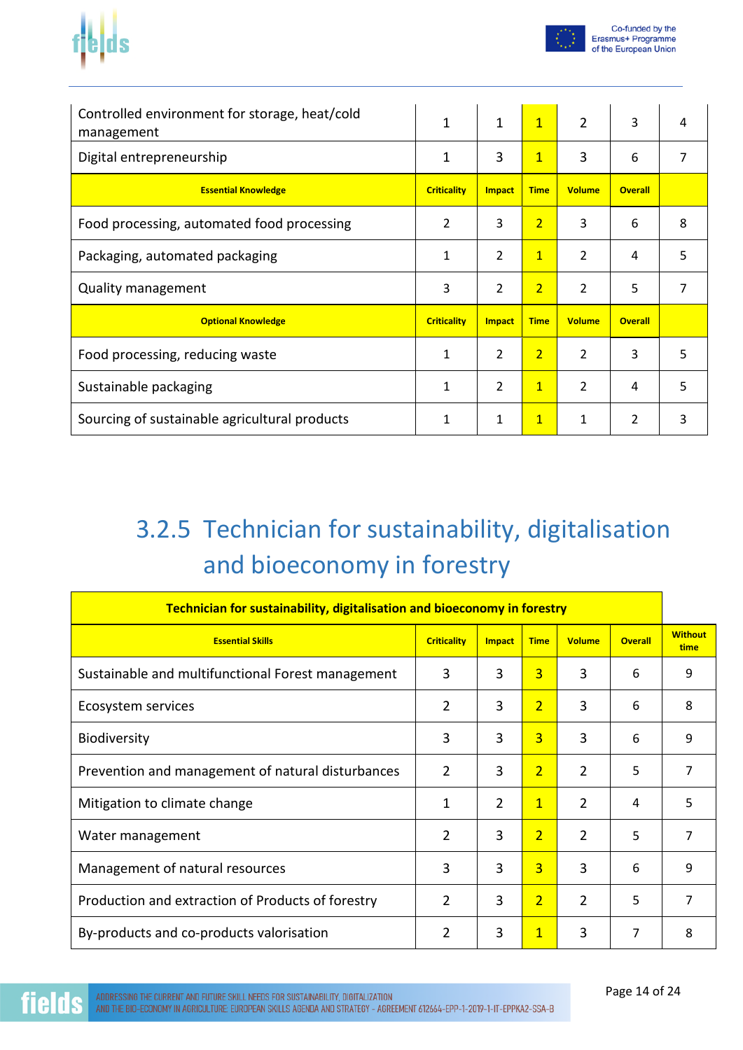



| Controlled environment for storage, heat/cold<br>management | 1                  | $\mathbf 1$    | $\overline{1}$ | $\overline{2}$ | 3              | 4 |
|-------------------------------------------------------------|--------------------|----------------|----------------|----------------|----------------|---|
| Digital entrepreneurship                                    | 1                  | 3              | $\mathbf{1}$   | 3              | 6              |   |
| <b>Essential Knowledge</b>                                  | <b>Criticality</b> | Impact         | <b>Time</b>    | <b>Volume</b>  | <b>Overall</b> |   |
| Food processing, automated food processing                  | $\overline{2}$     | 3              | $\overline{2}$ | 3              | 6              | 8 |
| Packaging, automated packaging                              | 1                  | $\overline{2}$ | $\mathbf{1}$   | $\mathcal{P}$  | 4              | 5 |
| Quality management                                          | 3                  | 2              | $\overline{2}$ | 2              | 5              | 7 |
| <b>Optional Knowledge</b>                                   | <b>Criticality</b> | <b>Impact</b>  | <b>Time</b>    | <b>Volume</b>  | <b>Overall</b> |   |
| Food processing, reducing waste                             | 1                  | $\overline{2}$ | $\overline{2}$ | $\mathcal{P}$  | 3              | 5 |
| Sustainable packaging                                       | 1                  | $\overline{2}$ | $\overline{1}$ | $\overline{2}$ | 4              | 5 |
| Sourcing of sustainable agricultural products               | 1                  | 1              | $\mathbf{1}$   | 1              | $\overline{2}$ | 3 |

# 3.2.5 Technician for sustainability, digitalisation and bioeconomy in forestry

| Technician for sustainability, digitalisation and bioeconomy in forestry |                    |               |                |                |                |                        |
|--------------------------------------------------------------------------|--------------------|---------------|----------------|----------------|----------------|------------------------|
| <b>Essential Skills</b>                                                  | <b>Criticality</b> | <b>Impact</b> | <b>Time</b>    | <b>Volume</b>  | <b>Overall</b> | <b>Without</b><br>time |
| Sustainable and multifunctional Forest management                        | 3                  | 3             | $\overline{3}$ | 3              | 6              | 9                      |
| Ecosystem services                                                       | 2                  | 3             | $\overline{2}$ | 3              | 6              | 8                      |
| <b>Biodiversity</b>                                                      | 3                  | 3             | $\overline{3}$ | 3              | 6              | 9                      |
| Prevention and management of natural disturbances                        | $\overline{2}$     | 3             | $\overline{2}$ | 2              | 5              | 7                      |
| Mitigation to climate change                                             | 1                  | 2             | $\overline{1}$ | 2              | 4              | 5                      |
| Water management                                                         | $\overline{2}$     | 3             | $\overline{2}$ | $\mathfrak{p}$ | 5              | 7                      |
| Management of natural resources                                          | 3                  | 3             | $\overline{3}$ | 3              | 6              | 9                      |
| Production and extraction of Products of forestry                        | $\overline{2}$     | 3             | $\overline{2}$ | 2              | 5              | 7                      |
| By-products and co-products valorisation                                 | 2                  | 3             | $\overline{1}$ | 3              | 7              | 8                      |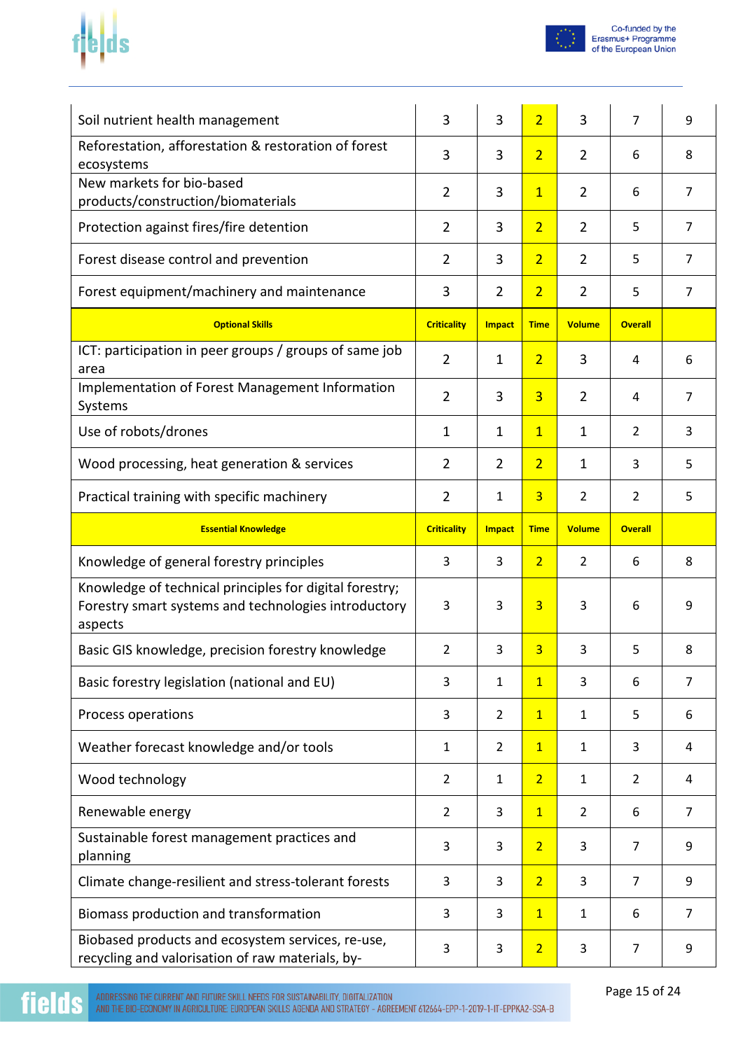



| Soil nutrient health management                                                                                            | 3                  | 3              | $\overline{2}$ | 3              | 7              | 9              |
|----------------------------------------------------------------------------------------------------------------------------|--------------------|----------------|----------------|----------------|----------------|----------------|
| Reforestation, afforestation & restoration of forest<br>ecosystems                                                         | 3                  | 3              | $\overline{2}$ | $\overline{2}$ | 6              | 8              |
| New markets for bio-based<br>products/construction/biomaterials                                                            | $\overline{2}$     | 3              | $\overline{1}$ | $\overline{2}$ | 6              | $\overline{7}$ |
| Protection against fires/fire detention                                                                                    | $\overline{2}$     | 3              | $\overline{2}$ | $\overline{2}$ | 5              | $\overline{7}$ |
| Forest disease control and prevention                                                                                      | $\overline{2}$     | 3              | $\overline{2}$ | $\overline{2}$ | 5              | $\overline{7}$ |
| Forest equipment/machinery and maintenance                                                                                 | 3                  | $\overline{2}$ | $\overline{2}$ | $\overline{2}$ | 5              | $\overline{7}$ |
| <b>Optional Skills</b>                                                                                                     | <b>Criticality</b> | <b>Impact</b>  | <b>Time</b>    | <b>Volume</b>  | <b>Overall</b> |                |
| ICT: participation in peer groups / groups of same job<br>area                                                             | $\overline{2}$     | $\mathbf{1}$   | $\overline{2}$ | 3              | 4              | 6              |
| Implementation of Forest Management Information<br>Systems                                                                 | $\overline{2}$     | 3              | $\overline{3}$ | $\overline{2}$ | 4              | $\overline{7}$ |
| Use of robots/drones                                                                                                       | $\mathbf{1}$       | 1              | $\overline{1}$ | $\mathbf{1}$   | 2              | 3              |
| Wood processing, heat generation & services                                                                                | $\overline{2}$     | $\overline{2}$ | $\overline{2}$ | $\mathbf 1$    | 3              | 5              |
| Practical training with specific machinery                                                                                 | $\overline{2}$     | 1              | $\overline{3}$ | $\overline{2}$ | 2              | 5              |
| <b>Essential Knowledge</b>                                                                                                 | <b>Criticality</b> | <b>Impact</b>  | <b>Time</b>    | <b>Volume</b>  | <b>Overall</b> |                |
| Knowledge of general forestry principles                                                                                   | 3                  | 3              | $\overline{2}$ | $\overline{2}$ | 6              | 8              |
|                                                                                                                            |                    |                |                |                |                |                |
| Knowledge of technical principles for digital forestry;<br>Forestry smart systems and technologies introductory<br>aspects | 3                  | 3              | $\overline{3}$ | 3              | 6              | 9              |
| Basic GIS knowledge, precision forestry knowledge                                                                          | $\overline{2}$     | 3              | $\overline{3}$ | 3              | 5              | 8              |
| Basic forestry legislation (national and EU)                                                                               | 3                  | $\mathbf{1}$   | $\overline{1}$ | 3              | 6              | $\overline{7}$ |
| Process operations                                                                                                         | 3                  | $\overline{2}$ | $\overline{1}$ | $\mathbf{1}$   | 5              | 6              |
| Weather forecast knowledge and/or tools                                                                                    | $\mathbf{1}$       | $\overline{2}$ | $\overline{1}$ | $\mathbf{1}$   | 3              | 4              |
| Wood technology                                                                                                            | $\overline{2}$     | $\mathbf{1}$   | $\overline{2}$ | $\mathbf{1}$   | $\overline{2}$ | 4              |
| Renewable energy                                                                                                           | 2                  | 3              | $\overline{1}$ | $\overline{2}$ | 6              | $\overline{7}$ |
| Sustainable forest management practices and<br>planning                                                                    | 3                  | 3              | $\overline{2}$ | 3              | $\overline{7}$ | 9              |
| Climate change-resilient and stress-tolerant forests                                                                       | 3                  | 3              | $\overline{2}$ | 3              | $\overline{7}$ | 9              |
| Biomass production and transformation                                                                                      | 3                  | 3              | $\overline{1}$ | $\mathbf{1}$   | 6              | $\overline{7}$ |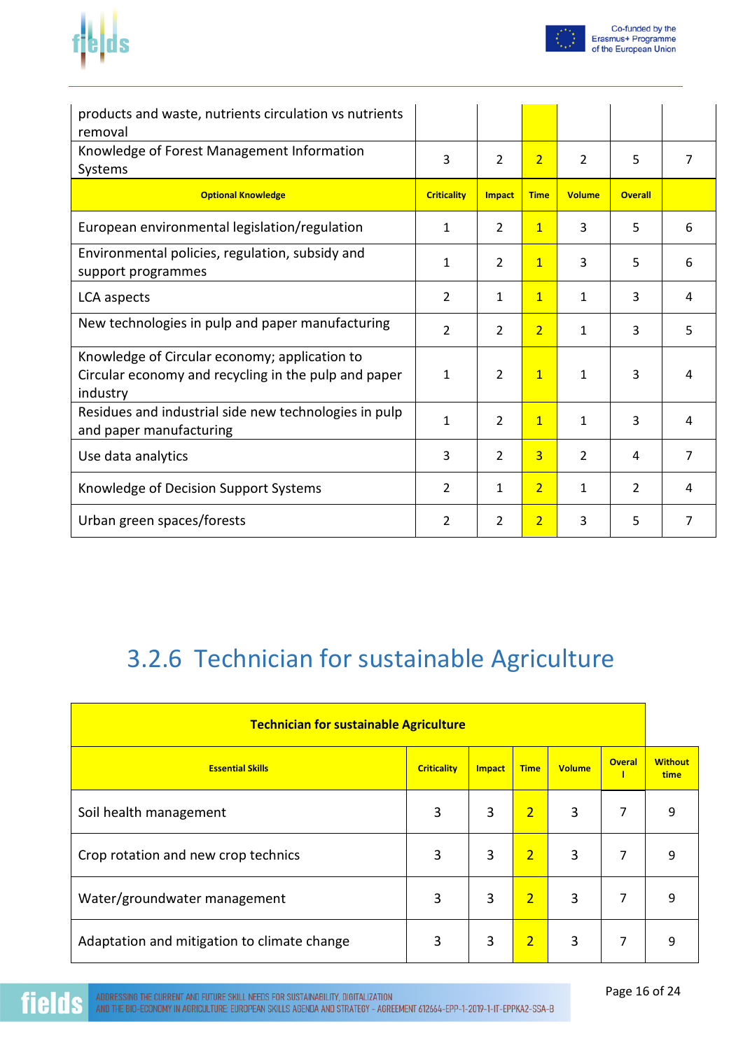



| products and waste, nutrients circulation vs nutrients<br>removal                                                 |                    |                |                |                |                |                |
|-------------------------------------------------------------------------------------------------------------------|--------------------|----------------|----------------|----------------|----------------|----------------|
| Knowledge of Forest Management Information<br>Systems                                                             | 3                  | 2              | $\overline{2}$ | $\overline{2}$ | 5              | $\overline{7}$ |
| <b>Optional Knowledge</b>                                                                                         | <b>Criticality</b> | Impact         | <b>Time</b>    | <b>Volume</b>  | <b>Overall</b> |                |
| European environmental legislation/regulation                                                                     | 1                  | $\overline{2}$ | $\overline{1}$ | 3              | 5              | 6              |
| Environmental policies, regulation, subsidy and<br>support programmes                                             | $\mathbf{1}$       | 2              | $\overline{1}$ | 3              | 5              | 6              |
| LCA aspects                                                                                                       | $\overline{2}$     | 1              | $\mathbf{1}$   | $\mathbf{1}$   | 3              | 4              |
| New technologies in pulp and paper manufacturing                                                                  | $\overline{2}$     | 2              | $\overline{2}$ | 1              | 3              | 5              |
| Knowledge of Circular economy; application to<br>Circular economy and recycling in the pulp and paper<br>industry | $\mathbf{1}$       | $\overline{2}$ | $\overline{1}$ | $\mathbf{1}$   | 3              | 4              |
| Residues and industrial side new technologies in pulp<br>and paper manufacturing                                  | $\mathbf{1}$       | $\overline{2}$ | $\overline{1}$ | $\mathbf{1}$   | 3              | 4              |
| Use data analytics                                                                                                | 3                  | $\overline{2}$ | 3              | $\overline{2}$ | 4              | $\overline{7}$ |
| Knowledge of Decision Support Systems                                                                             | $\overline{2}$     | $\mathbf{1}$   | $\overline{2}$ | $\mathbf{1}$   | 2              | 4              |
| Urban green spaces/forests                                                                                        | 2                  | $\overline{2}$ | $\overline{2}$ | 3              | 5              | 7              |

### 3.2.6 Technician for sustainable Agriculture

| <b>Technician for sustainable Agriculture</b> |                    |               |                |               |                    |                        |
|-----------------------------------------------|--------------------|---------------|----------------|---------------|--------------------|------------------------|
| <b>Essential Skills</b>                       | <b>Criticality</b> | <b>Impact</b> | <b>Time</b>    | <b>Volume</b> | <b>Overal</b><br>1 | <b>Without</b><br>time |
| Soil health management                        | 3                  | 3             | $\overline{2}$ | 3             | 7                  | 9                      |
| Crop rotation and new crop technics           | 3                  | 3             | $\overline{2}$ | 3             | $\overline{7}$     | 9                      |
| Water/groundwater management                  | 3                  | 3             | $\overline{2}$ | 3             | 7                  | 9                      |
| Adaptation and mitigation to climate change   | 3                  | 3             | $\overline{2}$ | 3             | 7                  | 9                      |

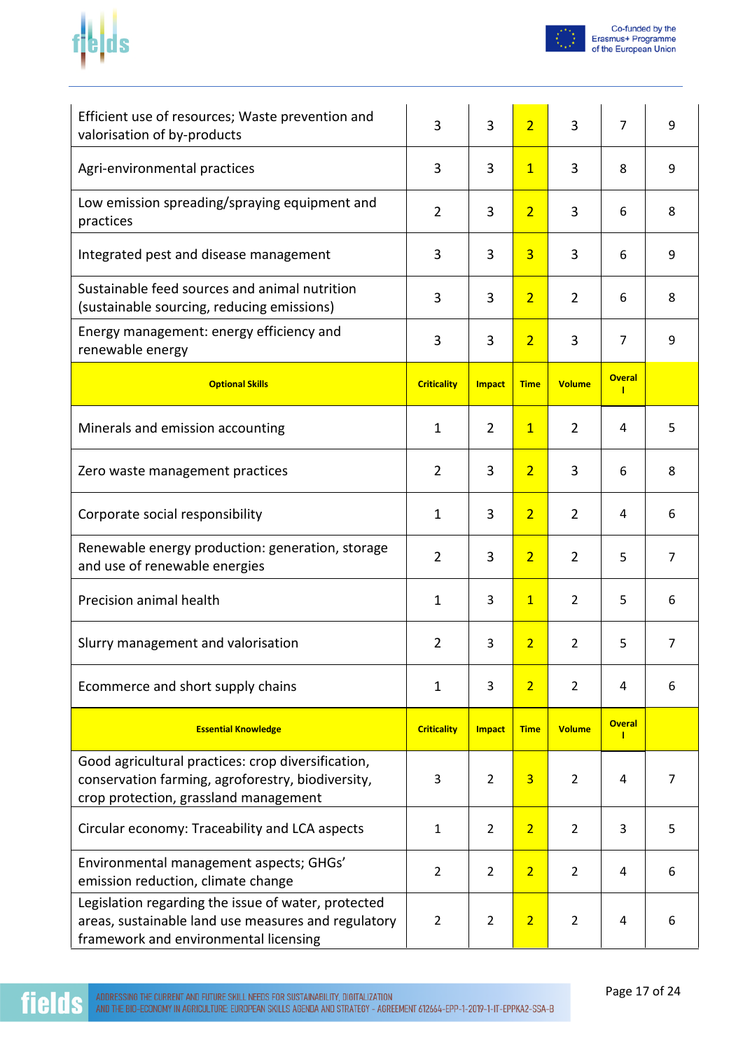



| Efficient use of resources; Waste prevention and<br>valorisation of by-products                                                                     | 3                  | 3              | $\overline{2}$ | 3              | $\overline{7}$                | 9              |
|-----------------------------------------------------------------------------------------------------------------------------------------------------|--------------------|----------------|----------------|----------------|-------------------------------|----------------|
| Agri-environmental practices                                                                                                                        | 3                  | 3              | $\overline{1}$ | 3              | 8                             | 9              |
| Low emission spreading/spraying equipment and<br>practices                                                                                          | $\overline{2}$     | 3              | $\overline{2}$ | 3              | 6                             | 8              |
| Integrated pest and disease management                                                                                                              | 3                  | 3              | $\overline{3}$ | 3              | 6                             | 9              |
| Sustainable feed sources and animal nutrition<br>(sustainable sourcing, reducing emissions)                                                         | 3                  | 3              | $\overline{2}$ | $\overline{2}$ | 6                             | 8              |
| Energy management: energy efficiency and<br>renewable energy                                                                                        | 3                  | 3              | $\overline{2}$ | 3              | $\overline{7}$                | 9              |
| <b>Optional Skills</b>                                                                                                                              | <b>Criticality</b> | <b>Impact</b>  | <b>Time</b>    | <b>Volume</b>  | <b>Overal</b><br>$\mathbf{I}$ |                |
| Minerals and emission accounting                                                                                                                    | 1                  | $\overline{2}$ | $\overline{1}$ | $\overline{2}$ | 4                             | 5              |
| Zero waste management practices                                                                                                                     | $\overline{2}$     | 3              | $\overline{2}$ | 3              | 6                             | 8              |
| Corporate social responsibility                                                                                                                     | 1                  | 3              | $\overline{2}$ | $\overline{2}$ | 4                             | 6              |
| Renewable energy production: generation, storage<br>and use of renewable energies                                                                   | $\overline{2}$     | 3              | $\overline{2}$ | $\overline{2}$ | 5                             | $\overline{7}$ |
| Precision animal health                                                                                                                             | $\mathbf 1$        | 3              | $\mathbf{1}$   | $\overline{2}$ | 5                             | 6              |
| Slurry management and valorisation                                                                                                                  | 2                  | 3              | $\overline{2}$ | 2              | 5                             | $\overline{7}$ |
| Ecommerce and short supply chains                                                                                                                   | 1                  | 3              | $\overline{2}$ | $\overline{2}$ | 4                             | 6              |
| <b>Essential Knowledge</b>                                                                                                                          | <b>Criticality</b> | <b>Impact</b>  | <b>Time</b>    | <b>Volume</b>  | <b>Overal</b><br>$\mathbf{I}$ |                |
| Good agricultural practices: crop diversification,<br>conservation farming, agroforestry, biodiversity,<br>crop protection, grassland management    | 3                  | $\overline{2}$ | $\overline{3}$ | $\overline{2}$ | 4                             | 7              |
| Circular economy: Traceability and LCA aspects                                                                                                      | 1                  | $\overline{2}$ | $\overline{2}$ | $\overline{2}$ | 3                             | 5              |
| Environmental management aspects; GHGs'<br>emission reduction, climate change                                                                       |                    | $\overline{2}$ | $\overline{2}$ | $\overline{2}$ | 4                             | 6              |
| Legislation regarding the issue of water, protected<br>areas, sustainable land use measures and regulatory<br>framework and environmental licensing | $\overline{2}$     | $\overline{2}$ | $\overline{2}$ | $\overline{2}$ | 4                             | 6              |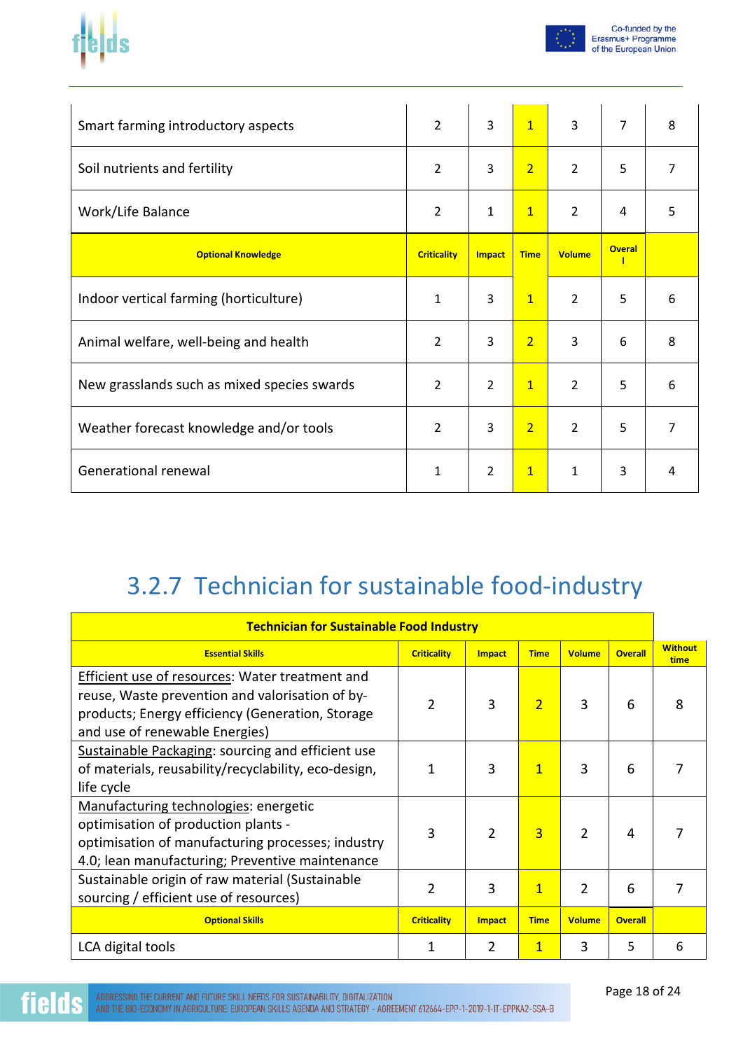



| Smart farming introductory aspects          | $\overline{2}$     | 3              | $\overline{1}$ | $\overline{3}$ | $\overline{7}$      | 8              |
|---------------------------------------------|--------------------|----------------|----------------|----------------|---------------------|----------------|
| Soil nutrients and fertility                | $\overline{2}$     | 3              | 2 <sup>1</sup> | $\overline{2}$ | 5                   | $\overline{7}$ |
| Work/Life Balance                           |                    | 1              | $\mathbf{1}$   | $\overline{2}$ | 4                   | 5              |
| <b>Optional Knowledge</b>                   | <b>Criticality</b> | <b>Impact</b>  | <b>Time</b>    | <b>Volume</b>  | <b>Overal</b><br>-1 |                |
| Indoor vertical farming (horticulture)      | 1                  | 3              | $\mathbf{1}$   | $\overline{2}$ | 5                   | 6              |
| Animal welfare, well-being and health       | $\overline{2}$     | 3              | $\overline{2}$ | 3              | 6                   | 8              |
| New grasslands such as mixed species swards | $\overline{2}$     | $\overline{2}$ | $\overline{1}$ | $\overline{2}$ | 5                   | 6              |
| Weather forecast knowledge and/or tools     | $\overline{2}$     | 3              | $\overline{2}$ | $\overline{2}$ | 5                   | 7              |
| Generational renewal                        | $\mathbf{1}$       | $\overline{2}$ | $\mathbf{1}$   | 1              | 3                   | 4              |

## 3.2.7 Technician for sustainable food-industry

| <b>Technician for Sustainable Food Industry</b>                                                                                                                                                 |                    |                |                |                |                |                        |
|-------------------------------------------------------------------------------------------------------------------------------------------------------------------------------------------------|--------------------|----------------|----------------|----------------|----------------|------------------------|
| <b>Essential Skills</b>                                                                                                                                                                         | <b>Criticality</b> | <b>Impact</b>  | <b>Time</b>    | <b>Volume</b>  | <b>Overall</b> | <b>Without</b><br>time |
| <b>Efficient use of resources: Water treatment and</b><br>reuse, Waste prevention and valorisation of by-<br>products; Energy efficiency (Generation, Storage<br>and use of renewable Energies) | $\overline{2}$     | 3              | $\overline{2}$ | 3              | 6              | 8                      |
| Sustainable Packaging: sourcing and efficient use<br>of materials, reusability/recyclability, eco-design,<br>life cycle                                                                         | 1                  | 3              | $\mathbf{1}$   | 3              | 6              |                        |
| Manufacturing technologies: energetic<br>optimisation of production plants -<br>optimisation of manufacturing processes; industry<br>4.0; lean manufacturing; Preventive maintenance            | 3                  | $\mathfrak{p}$ | $\overline{3}$ | 2              | 4              |                        |
| Sustainable origin of raw material (Sustainable<br>sourcing / efficient use of resources)                                                                                                       | $\overline{2}$     | 3              | $\mathbf{1}$   | $\mathfrak{p}$ | 6              |                        |
| <b>Optional Skills</b>                                                                                                                                                                          | <b>Criticality</b> | <b>Impact</b>  | <b>Time</b>    | <b>Volume</b>  | <b>Overall</b> |                        |
| LCA digital tools                                                                                                                                                                               | 1                  | 2              | 1              | 3              | 5              | 6                      |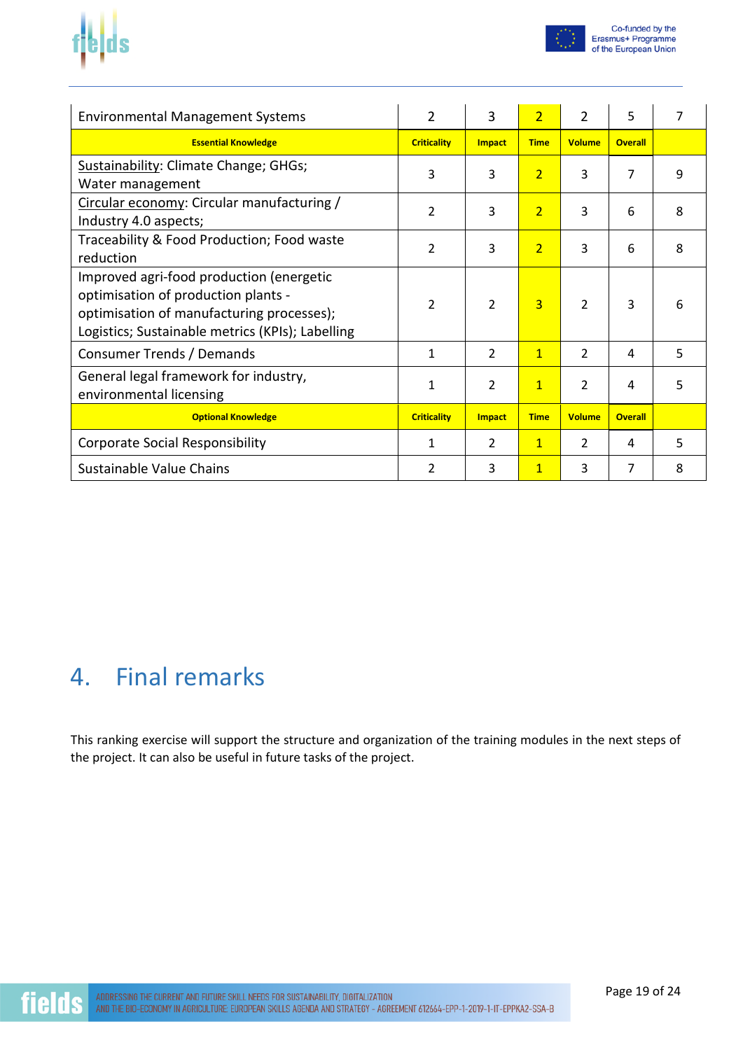



| <b>Environmental Management Systems</b>                                                                                                                                          | $\overline{2}$     | 3              | $\overline{2}$ | $\overline{2}$ | 5              | 7 |
|----------------------------------------------------------------------------------------------------------------------------------------------------------------------------------|--------------------|----------------|----------------|----------------|----------------|---|
| <b>Essential Knowledge</b>                                                                                                                                                       | <b>Criticality</b> | <b>Impact</b>  | <b>Time</b>    | <b>Volume</b>  | <b>Overall</b> |   |
| Sustainability: Climate Change; GHGs;<br>Water management                                                                                                                        | 3                  | 3              | $\overline{2}$ | 3              | 7              | 9 |
| Circular economy: Circular manufacturing /<br>Industry 4.0 aspects;                                                                                                              | 2                  | 3              | $\overline{2}$ | 3              | 6              | 8 |
| Traceability & Food Production; Food waste<br>reduction                                                                                                                          | $\overline{2}$     | 3              | $\overline{2}$ | 3              | 6              | 8 |
| Improved agri-food production (energetic<br>optimisation of production plants -<br>optimisation of manufacturing processes);<br>Logistics; Sustainable metrics (KPIs); Labelling | $\mathcal{P}$      | $\overline{2}$ | $\overline{3}$ | $\mathcal{P}$  | 3              | 6 |
| Consumer Trends / Demands                                                                                                                                                        | $\mathbf{1}$       | 2              | $\overline{1}$ | $\mathcal{L}$  | 4              | 5 |
| General legal framework for industry,<br>environmental licensing                                                                                                                 | 1                  | $\overline{2}$ | $\mathbf{1}$   | $\overline{2}$ | 4              | 5 |
| <b>Optional Knowledge</b>                                                                                                                                                        | <b>Criticality</b> | <b>Impact</b>  | <b>Time</b>    | <b>Volume</b>  | <b>Overall</b> |   |
| <b>Corporate Social Responsibility</b>                                                                                                                                           | 1                  | 2              | $\mathbf{1}$   | $\mathcal{L}$  | 4              | 5 |
| Sustainable Value Chains                                                                                                                                                         | 2                  | 3              | $\overline{1}$ | 3              | 7              | 8 |

#### 4. Final remarks

This ranking exercise will support the structure and organization of the training modules in the next steps of the project. It can also be useful in future tasks of the project.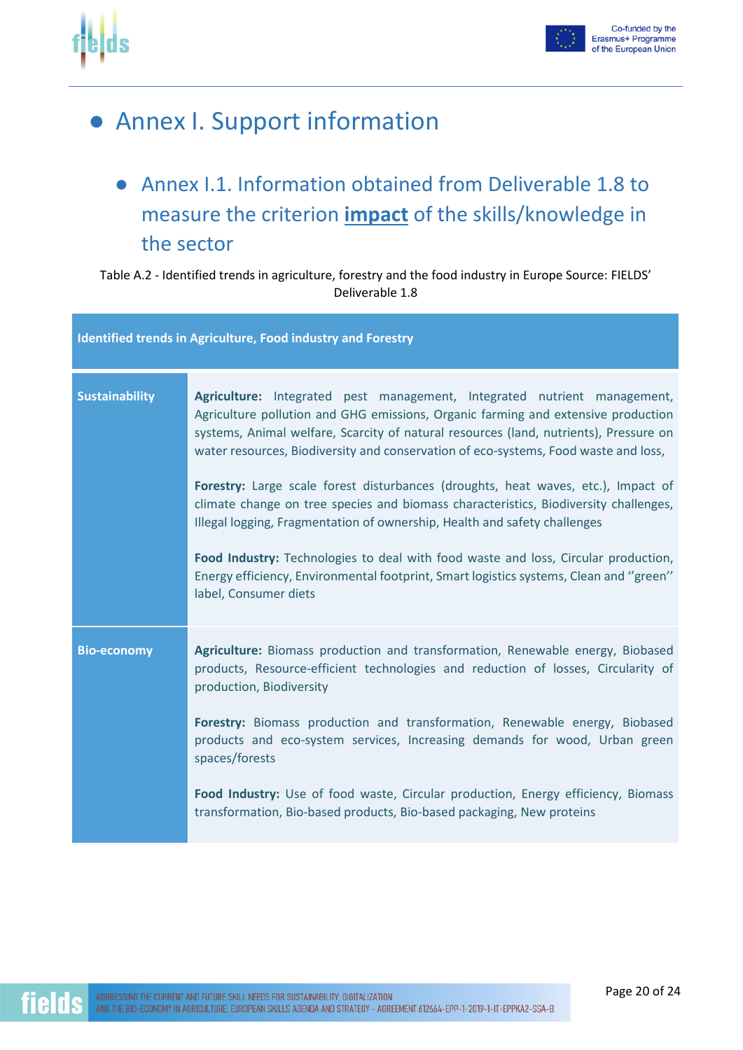

#### ● Annex I. Support information

● Annex I.1. Information obtained from Deliverable 1.8 to measure the criterion **impact** of the skills/knowledge in the sector

#### Table A.2 - Identified trends in agriculture, forestry and the food industry in Europe Source: FIELDS' Deliverable 1.8

|                       | <b>Identified trends in Agriculture, Food industry and Forestry</b>                                                                                                                                                                                                                                                                                                                                                                                                                                                                                                                                                                                                                                                                                                                                              |
|-----------------------|------------------------------------------------------------------------------------------------------------------------------------------------------------------------------------------------------------------------------------------------------------------------------------------------------------------------------------------------------------------------------------------------------------------------------------------------------------------------------------------------------------------------------------------------------------------------------------------------------------------------------------------------------------------------------------------------------------------------------------------------------------------------------------------------------------------|
| <b>Sustainability</b> | Agriculture: Integrated pest management, Integrated nutrient management,<br>Agriculture pollution and GHG emissions, Organic farming and extensive production<br>systems, Animal welfare, Scarcity of natural resources (land, nutrients), Pressure on<br>water resources, Biodiversity and conservation of eco-systems, Food waste and loss,<br>Forestry: Large scale forest disturbances (droughts, heat waves, etc.), Impact of<br>climate change on tree species and biomass characteristics, Biodiversity challenges,<br>Illegal logging, Fragmentation of ownership, Health and safety challenges<br>Food Industry: Technologies to deal with food waste and loss, Circular production,<br>Energy efficiency, Environmental footprint, Smart logistics systems, Clean and "green"<br>label, Consumer diets |
| <b>Bio-economy</b>    | Agriculture: Biomass production and transformation, Renewable energy, Biobased<br>products, Resource-efficient technologies and reduction of losses, Circularity of<br>production, Biodiversity<br>Forestry: Biomass production and transformation, Renewable energy, Biobased<br>products and eco-system services, Increasing demands for wood, Urban green<br>spaces/forests<br>Food Industry: Use of food waste, Circular production, Energy efficiency, Biomass<br>transformation, Bio-based products, Bio-based packaging, New proteins                                                                                                                                                                                                                                                                     |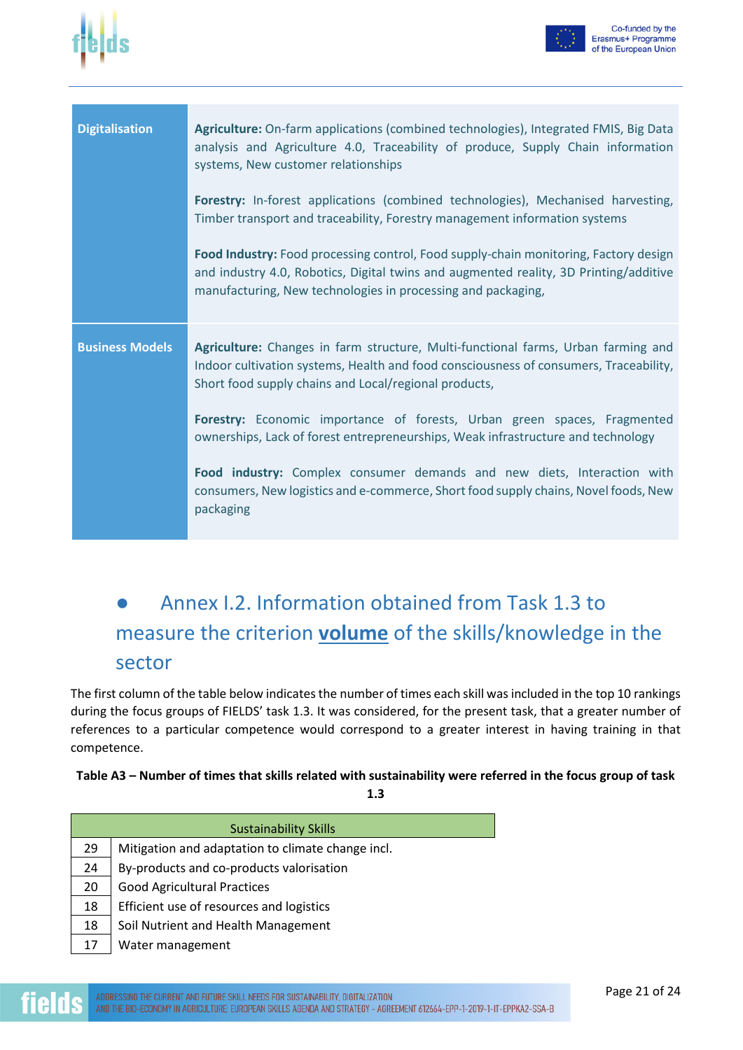



| <b>Digitalisation</b>  | Agriculture: On-farm applications (combined technologies), Integrated FMIS, Big Data<br>analysis and Agriculture 4.0, Traceability of produce, Supply Chain information<br>systems, New customer relationships<br>Forestry: In-forest applications (combined technologies), Mechanised harvesting,<br>Timber transport and traceability, Forestry management information systems<br>Food Industry: Food processing control, Food supply-chain monitoring, Factory design<br>and industry 4.0, Robotics, Digital twins and augmented reality, 3D Printing/additive<br>manufacturing, New technologies in processing and packaging, |
|------------------------|-----------------------------------------------------------------------------------------------------------------------------------------------------------------------------------------------------------------------------------------------------------------------------------------------------------------------------------------------------------------------------------------------------------------------------------------------------------------------------------------------------------------------------------------------------------------------------------------------------------------------------------|
| <b>Business Models</b> | Agriculture: Changes in farm structure, Multi-functional farms, Urban farming and<br>Indoor cultivation systems, Health and food consciousness of consumers, Traceability,<br>Short food supply chains and Local/regional products,<br>Forestry: Economic importance of forests, Urban green spaces, Fragmented<br>ownerships, Lack of forest entrepreneurships, Weak infrastructure and technology<br>Food industry: Complex consumer demands and new diets, Interaction with<br>consumers, New logistics and e-commerce, Short food supply chains, Novel foods, New<br>packaging                                                |

#### Annex I.2. Information obtained from Task 1.3 to measure the criterion **volume** of the skills/knowledge in the sector

The first column of the table below indicates the number of times each skill was included in the top 10 rankings during the focus groups of FIELDS' task 1.3. It was considered, for the present task, that a greater number of references to a particular competence would correspond to a greater interest in having training in that competence.

#### **Table A3 – Number of times that skills related with sustainability were referred in the focus group of task**

**1.3** 

|    | <b>Sustainability Skills</b>                      |  |  |  |  |
|----|---------------------------------------------------|--|--|--|--|
| 29 | Mitigation and adaptation to climate change incl. |  |  |  |  |
| 24 | By-products and co-products valorisation          |  |  |  |  |
| 20 | <b>Good Agricultural Practices</b>                |  |  |  |  |
| 18 | Efficient use of resources and logistics          |  |  |  |  |
| 18 | Soil Nutrient and Health Management               |  |  |  |  |
| 17 | Water management                                  |  |  |  |  |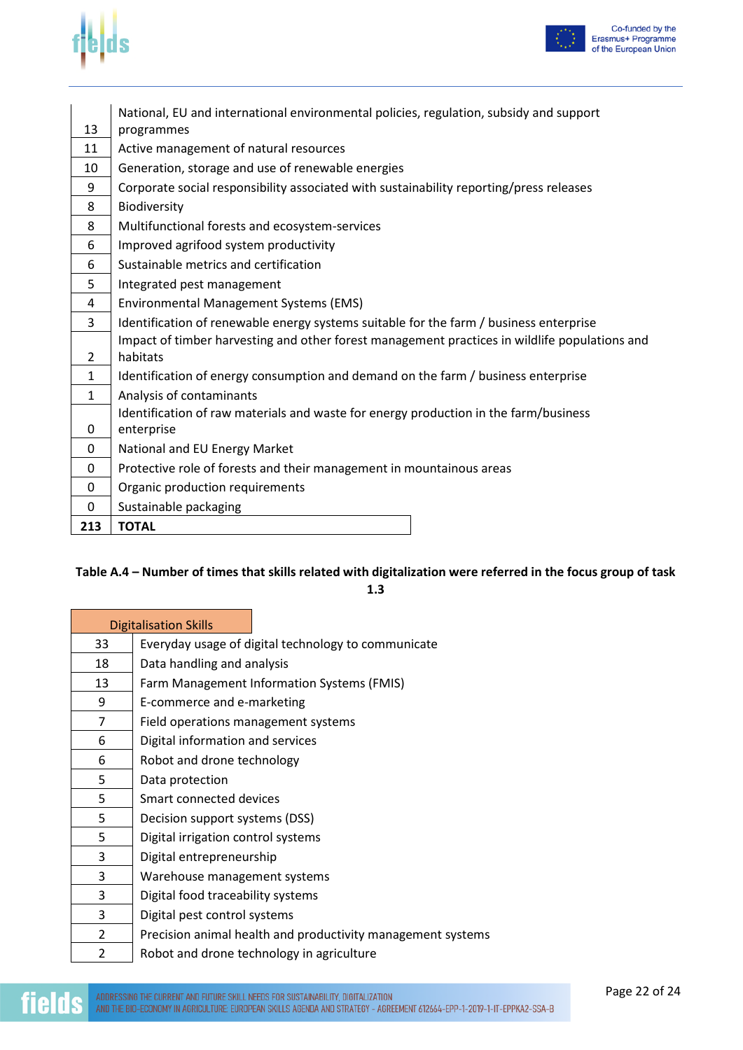



|              | National, EU and international environmental policies, regulation, subsidy and support        |  |  |  |  |  |
|--------------|-----------------------------------------------------------------------------------------------|--|--|--|--|--|
| 13           | programmes                                                                                    |  |  |  |  |  |
| 11           | Active management of natural resources                                                        |  |  |  |  |  |
| 10           | Generation, storage and use of renewable energies                                             |  |  |  |  |  |
| 9            | Corporate social responsibility associated with sustainability reporting/press releases       |  |  |  |  |  |
| 8            | Biodiversity                                                                                  |  |  |  |  |  |
| 8            | Multifunctional forests and ecosystem-services                                                |  |  |  |  |  |
| 6            | Improved agrifood system productivity                                                         |  |  |  |  |  |
| 6            | Sustainable metrics and certification                                                         |  |  |  |  |  |
| 5            | Integrated pest management                                                                    |  |  |  |  |  |
| 4            | Environmental Management Systems (EMS)                                                        |  |  |  |  |  |
| 3            | Identification of renewable energy systems suitable for the farm / business enterprise        |  |  |  |  |  |
|              | Impact of timber harvesting and other forest management practices in wildlife populations and |  |  |  |  |  |
| 2            | habitats                                                                                      |  |  |  |  |  |
| $\mathbf{1}$ | Identification of energy consumption and demand on the farm / business enterprise             |  |  |  |  |  |
| $\mathbf{1}$ | Analysis of contaminants                                                                      |  |  |  |  |  |
|              | Identification of raw materials and waste for energy production in the farm/business          |  |  |  |  |  |
| 0            | enterprise                                                                                    |  |  |  |  |  |
| 0            | National and EU Energy Market                                                                 |  |  |  |  |  |
| $\mathbf{0}$ | Protective role of forests and their management in mountainous areas                          |  |  |  |  |  |
| 0            | Organic production requirements                                                               |  |  |  |  |  |
| 0            | Sustainable packaging                                                                         |  |  |  |  |  |
| 213          | <b>TOTAL</b>                                                                                  |  |  |  |  |  |

#### **Table A.4 – Number of times that skills related with digitalization were referred in the focus group of task**

**1.3** 

|    | <b>Digitalisation Skills</b>                                |
|----|-------------------------------------------------------------|
|    |                                                             |
| 33 | Everyday usage of digital technology to communicate         |
| 18 | Data handling and analysis                                  |
| 13 | Farm Management Information Systems (FMIS)                  |
| 9  | E-commerce and e-marketing                                  |
| 7  | Field operations management systems                         |
| 6  | Digital information and services                            |
| 6  | Robot and drone technology                                  |
| 5  | Data protection                                             |
| 5  | Smart connected devices                                     |
| 5  | Decision support systems (DSS)                              |
| 5  | Digital irrigation control systems                          |
| 3  | Digital entrepreneurship                                    |
| 3  | Warehouse management systems                                |
| 3  | Digital food traceability systems                           |
| 3  | Digital pest control systems                                |
| 2  | Precision animal health and productivity management systems |
| 2  | Robot and drone technology in agriculture                   |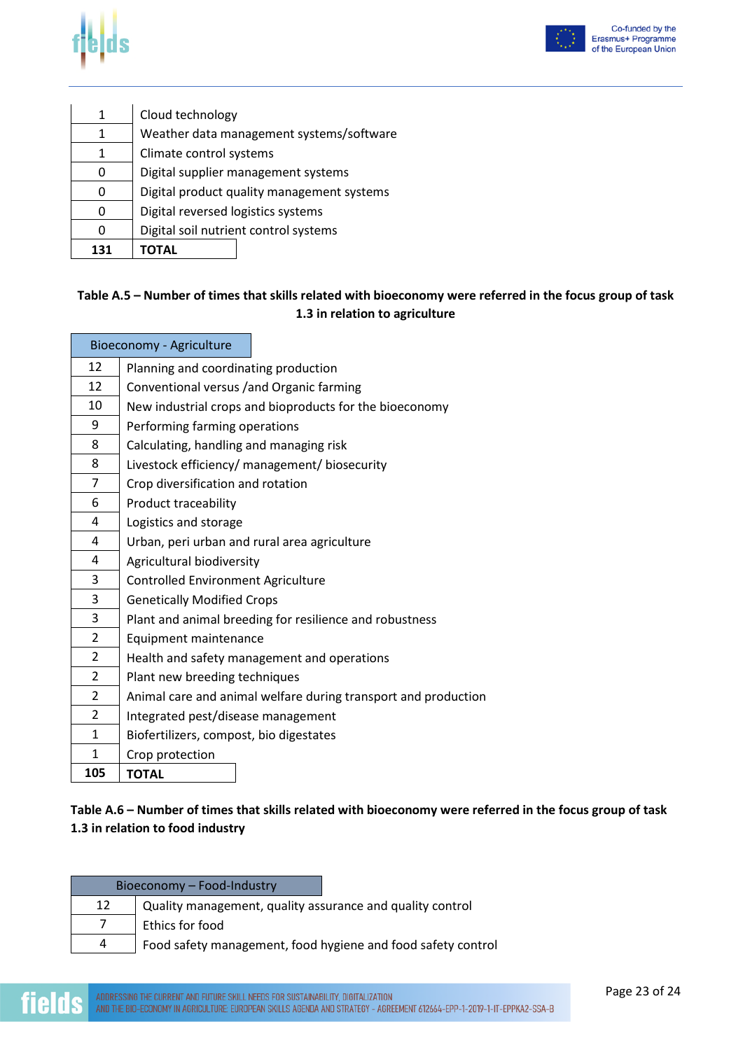



| 1   | Cloud technology                           |  |  |  |  |
|-----|--------------------------------------------|--|--|--|--|
| 1   | Weather data management systems/software   |  |  |  |  |
|     | Climate control systems                    |  |  |  |  |
|     | Digital supplier management systems        |  |  |  |  |
| n   | Digital product quality management systems |  |  |  |  |
|     | Digital reversed logistics systems         |  |  |  |  |
|     | Digital soil nutrient control systems      |  |  |  |  |
| 131 | ΤΟΤΑL                                      |  |  |  |  |

#### **Table A.5 – Number of times that skills related with bioeconomy were referred in the focus group of task 1.3 in relation to agriculture**

|                | Bioeconomy - Agriculture                                       |
|----------------|----------------------------------------------------------------|
| 12             | Planning and coordinating production                           |
| 12             | Conventional versus /and Organic farming                       |
| 10             | New industrial crops and bioproducts for the bioeconomy        |
| 9              | Performing farming operations                                  |
| 8              | Calculating, handling and managing risk                        |
| 8              | Livestock efficiency/ management/ biosecurity                  |
| $\overline{7}$ | Crop diversification and rotation                              |
| 6              | Product traceability                                           |
| 4              | Logistics and storage                                          |
| 4              | Urban, peri urban and rural area agriculture                   |
| 4              | Agricultural biodiversity                                      |
| 3              | <b>Controlled Environment Agriculture</b>                      |
| 3              | <b>Genetically Modified Crops</b>                              |
| 3              | Plant and animal breeding for resilience and robustness        |
| $\overline{2}$ | Equipment maintenance                                          |
| $\overline{2}$ | Health and safety management and operations                    |
| $\overline{2}$ | Plant new breeding techniques                                  |
| $\overline{2}$ | Animal care and animal welfare during transport and production |
| $\overline{2}$ | Integrated pest/disease management                             |
| 1              | Biofertilizers, compost, bio digestates                        |
| $\mathbf{1}$   | Crop protection                                                |
| 105            | <b>TOTAL</b>                                                   |

#### **Table A.6 – Number of times that skills related with bioeconomy were referred in the focus group of task 1.3 in relation to food industry**

|    | Bioeconomy - Food-Industry                                   |
|----|--------------------------------------------------------------|
| 12 | Quality management, quality assurance and quality control    |
|    | Ethics for food                                              |
| 4  | Food safety management, food hygiene and food safety control |